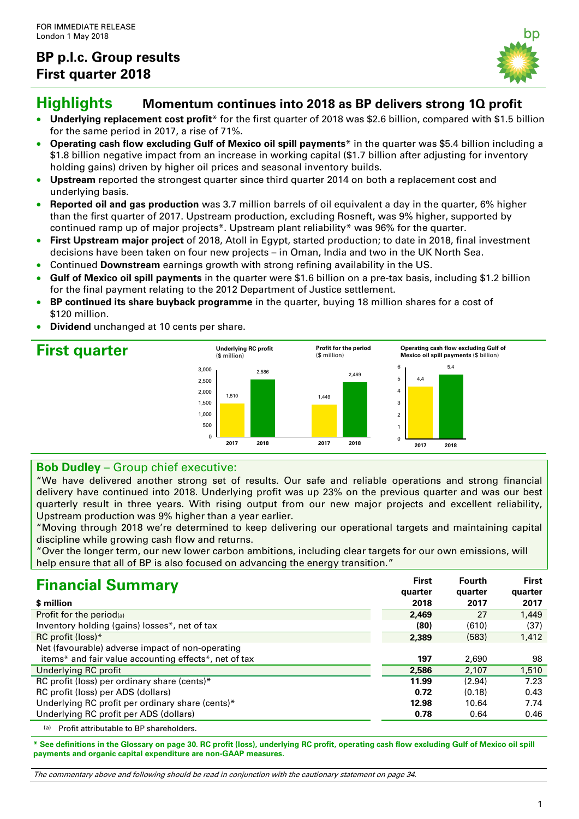## **BP p.l.c. Group results First quarter 2018**



## **Highlights Momentum continues into 2018 as BP delivers strong 1Q profit**

- **Underlying replacement cost profit**\* for the first quarter of 2018 was \$2.6 billion, compared with \$1.5 billion for the same period in 2017, a rise of 71%.
- **Operating cash flow excluding Gulf of Mexico oil spill payments**\* in the quarter was \$5.4 billion including a \$1.8 billion negative impact from an increase in working capital (\$1.7 billion after adjusting for inventory holding gains) driven by higher oil prices and seasonal inventory builds.
- **Upstream** reported the strongest quarter since third quarter 2014 on both a replacement cost and underlying basis.
- **Reported oil and gas production** was 3.7 million barrels of oil equivalent a day in the quarter, 6% higher than the first quarter of 2017. Upstream production, excluding Rosneft, was 9% higher, supported by continued ramp up of major projects\*. Upstream plant reliability\* was 96% for the quarter.
- **First Upstream major project** of 2018, Atoll in Egypt, started production; to date in 2018, final investment decisions have been taken on four new projects – in Oman, India and two in the UK North Sea.
- Continued **Downstream** earnings growth with strong refining availability in the US.
- **Gulf of Mexico oil spill payments** in the quarter were \$1.6 billion on a pre-tax basis, including \$1.2 billion for the final payment relating to the 2012 Department of Justice settlement.
- **BP continued its share buyback programme** in the quarter, buying 18 million shares for a cost of \$120 million.
- **Dividend** unchanged at 10 cents per share.

# **First quarter**



### **Bob Dudley** – Group chief executive:

"We have delivered another strong set of results. Our safe and reliable operations and strong financial delivery have continued into 2018. Underlying profit was up 23% on the previous quarter and was our best quarterly result in three years. With rising output from our new major projects and excellent reliability, Upstream production was 9% higher than a year earlier.

"Moving through 2018 we're determined to keep delivering our operational targets and maintaining capital discipline while growing cash flow and returns.

"Over the longer term, our new lower carbon ambitions, including clear targets for our own emissions, will help ensure that all of BP is also focused on advancing the energy transition."

# **Financial Summary First Fourth First**

| <u>ENGILUM VUIHHALV</u>                               | quarter | quarter | quarter |
|-------------------------------------------------------|---------|---------|---------|
| \$ million                                            | 2018    | 2017    | 2017    |
| Profit for the period(a)                              | 2,469   | 27      | 1,449   |
| Inventory holding (gains) losses*, net of tax         | (80)    | (610)   | (37)    |
| RC profit (loss)*                                     | 2,389   | (583)   | 1,412   |
| Net (favourable) adverse impact of non-operating      |         |         |         |
| items* and fair value accounting effects*, net of tax | 197     | 2,690   | 98      |
| Underlying RC profit                                  | 2,586   | 2.107   | 1,510   |
| RC profit (loss) per ordinary share (cents)*          | 11.99   | (2.94)  | 7.23    |
| RC profit (loss) per ADS (dollars)                    | 0.72    | (0.18)  | 0.43    |
| Underlying RC profit per ordinary share (cents)*      | 12.98   | 10.64   | 7.74    |
| Underlying RC profit per ADS (dollars)                | 0.78    | 0.64    | 0.46    |
|                                                       |         |         |         |

(a) Profit attributable to BP shareholders.

**\* See definitions in the Glossary on page 30. RC profit (loss), underlying RC profit, operating cash flow excluding Gulf of Mexico oil spill payments and organic capital expenditure are non-GAAP measures.**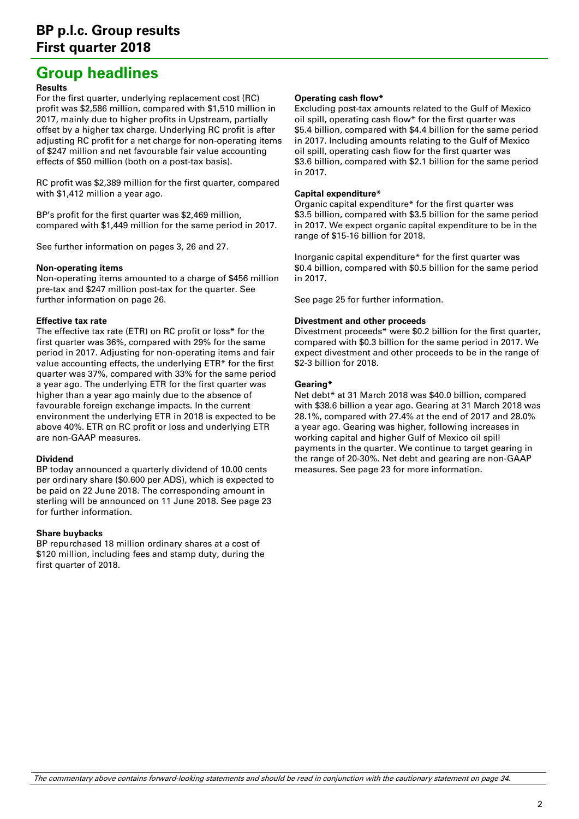# **Group headlines**

### **Results**

For the first quarter, underlying replacement cost (RC) profit was \$2,586 million, compared with \$1,510 million in 2017, mainly due to higher profits in Upstream, partially offset by a higher tax charge. Underlying RC profit is after adjusting RC profit for a net charge for non-operating items of \$247 million and net favourable fair value accounting effects of \$50 million (both on a post-tax basis).

RC profit was \$2,389 million for the first quarter, compared with \$1,412 million a year ago.

BP's profit for the first quarter was \$2,469 million, compared with \$1,449 million for the same period in 2017.

See further information on pages 3, 26 and 27.

#### **Non-operating items**

Non-operating items amounted to a charge of \$456 million pre-tax and \$247 million post-tax for the quarter. See further information on page 26.

#### **Effective tax rate**

The effective tax rate (ETR) on RC profit or loss\* for the first quarter was 36%, compared with 29% for the same period in 2017. Adjusting for non-operating items and fair value accounting effects, the underlying ETR\* for the first quarter was 37%, compared with 33% for the same period a year ago. The underlying ETR for the first quarter was higher than a year ago mainly due to the absence of favourable foreign exchange impacts. In the current environment the underlying ETR in 2018 is expected to be above 40%. ETR on RC profit or loss and underlying ETR are non-GAAP measures.

### **Dividend**

BP today announced a quarterly dividend of 10.00 cents per ordinary share (\$0.600 per ADS), which is expected to be paid on 22 June 2018. The corresponding amount in sterling will be announced on 11 June 2018. See page 23 for further information.

### **Share buybacks**

BP repurchased 18 million ordinary shares at a cost of \$120 million, including fees and stamp duty, during the first quarter of 2018.

#### **Operating cash flow\***

Excluding post-tax amounts related to the Gulf of Mexico oil spill, operating cash flow\* for the first quarter was \$5.4 billion, compared with \$4.4 billion for the same period in 2017. Including amounts relating to the Gulf of Mexico oil spill, operating cash flow for the first quarter was \$3.6 billion, compared with \$2.1 billion for the same period in 2017.

### **Capital expenditure\***

Organic capital expenditure\* for the first quarter was \$3.5 billion, compared with \$3.5 billion for the same period in 2017. We expect organic capital expenditure to be in the range of \$15-16 billion for 2018.

Inorganic capital expenditure\* for the first quarter was \$0.4 billion, compared with \$0.5 billion for the same period in 2017.

See page 25 for further information.

### **Divestment and other proceeds**

Divestment proceeds\* were \$0.2 billion for the first quarter, compared with \$0.3 billion for the same period in 2017. We expect divestment and other proceeds to be in the range of \$2-3 billion for 2018.

### **Gearing\***

Net debt\* at 31 March 2018 was \$40.0 billion, compared with \$38.6 billion a year ago. Gearing at 31 March 2018 was 28.1%, compared with 27.4% at the end of 2017 and 28.0% a year ago. Gearing was higher, following increases in working capital and higher Gulf of Mexico oil spill payments in the quarter. We continue to target gearing in the range of 20-30%. Net debt and gearing are non-GAAP measures. See page 23 for more information.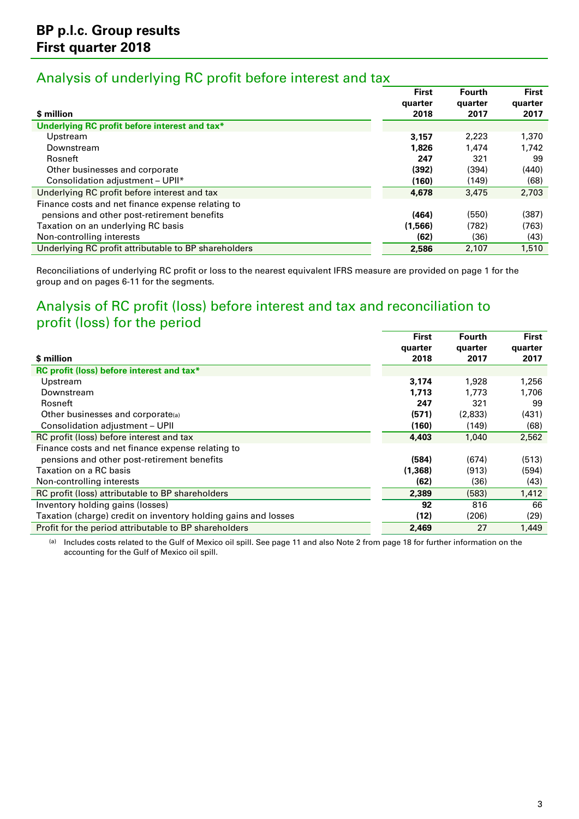# Analysis of underlying RC profit before interest and tax

|                                                      | <b>First</b>    | Fourth          | <b>First</b>    |
|------------------------------------------------------|-----------------|-----------------|-----------------|
| \$ million                                           | quarter<br>2018 | quarter<br>2017 | quarter<br>2017 |
| Underlying RC profit before interest and tax*        |                 |                 |                 |
| Upstream                                             | 3,157           | 2.223           | 1,370           |
| Downstream                                           | 1,826           | 1.474           | 1,742           |
| Rosneft                                              | 247             | 321             | 99              |
| Other businesses and corporate                       | (392)           | (394)           | (440)           |
| Consolidation adjustment - UPII*                     | (160)           | (149)           | (68)            |
| Underlying RC profit before interest and tax         | 4,678           | 3,475           | 2,703           |
| Finance costs and net finance expense relating to    |                 |                 |                 |
| pensions and other post-retirement benefits          | (464)           | (550)           | (387)           |
| Taxation on an underlying RC basis                   | (1,566)         | (782)           | (763)           |
| Non-controlling interests                            | (62)            | (36)            | (43)            |
| Underlying RC profit attributable to BP shareholders | 2,586           | 2,107           | 1,510           |

Reconciliations of underlying RC profit or loss to the nearest equivalent IFRS measure are provided on page 1 for the group and on pages 6-11 for the segments.

# Analysis of RC profit (loss) before interest and tax and reconciliation to profit (loss) for the period

|                                                                | First    | Fourth  | First   |
|----------------------------------------------------------------|----------|---------|---------|
|                                                                | quarter  | quarter | quarter |
| \$ million                                                     | 2018     | 2017    | 2017    |
| RC profit (loss) before interest and tax*                      |          |         |         |
| Upstream                                                       | 3,174    | 1,928   | 1,256   |
| Downstream                                                     | 1,713    | 1,773   | 1,706   |
| Rosneft                                                        | 247      | 321     | 99      |
| Other businesses and corporate $(a)$                           | (571)    | (2,833) | (431)   |
| Consolidation adjustment - UPII                                | (160)    | (149)   | (68)    |
| RC profit (loss) before interest and tax                       | 4,403    | 1,040   | 2,562   |
| Finance costs and net finance expense relating to              |          |         |         |
| pensions and other post-retirement benefits                    | (584)    | (674)   | (513)   |
| Taxation on a RC basis                                         | (1, 368) | (913)   | (594)   |
| Non-controlling interests                                      | (62)     | (36)    | (43)    |
| RC profit (loss) attributable to BP shareholders               | 2,389    | (583)   | 1,412   |
| Inventory holding gains (losses)                               | 92       | 816     | 66      |
| Taxation (charge) credit on inventory holding gains and losses | (12)     | (206)   | (29)    |
| Profit for the period attributable to BP shareholders          | 2,469    | 27      | 1,449   |

(a) Includes costs related to the Gulf of Mexico oil spill. See page 11 and also Note 2 from page 18 for further information on the accounting for the Gulf of Mexico oil spill.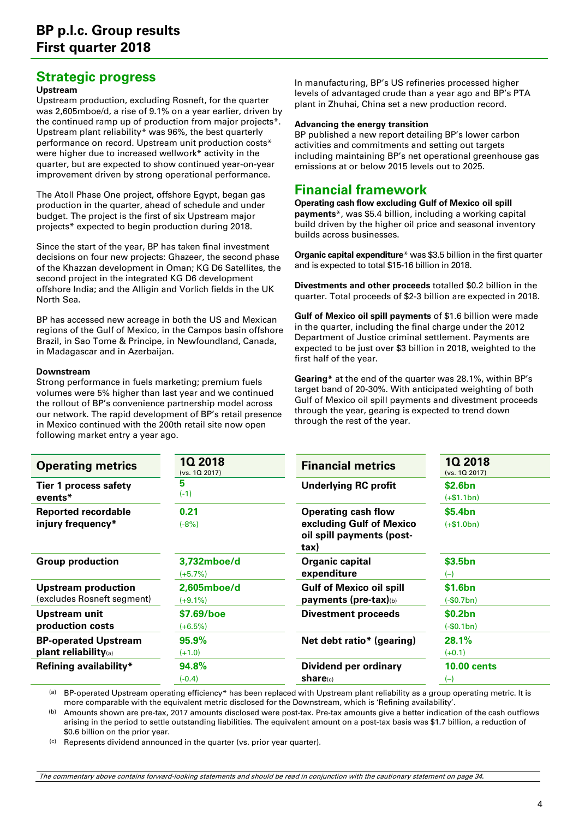### **Strategic progress**

### **Upstream**

Upstream production, excluding Rosneft, for the quarter was 2,605mboe/d, a rise of 9.1% on a year earlier, driven by the continued ramp up of production from major projects\*. Upstream plant reliability\* was 96%, the best quarterly performance on record. Upstream unit production costs\* were higher due to increased wellwork\* activity in the quarter, but are expected to show continued year-on-year improvement driven by strong operational performance.

The Atoll Phase One project, offshore Egypt, began gas production in the quarter, ahead of schedule and under budget. The project is the first of six Upstream major projects\* expected to begin production during 2018.

Since the start of the year, BP has taken final investment decisions on four new projects: Ghazeer, the second phase of the Khazzan development in Oman; KG D6 Satellites, the second project in the integrated KG D6 development offshore India; and the Alligin and Vorlich fields in the UK North Sea.

BP has accessed new acreage in both the US and Mexican regions of the Gulf of Mexico, in the Campos basin offshore Brazil, in Sao Tome & Principe, in Newfoundland, Canada, in Madagascar and in Azerbaijan.

#### **Downstream**

Strong performance in fuels marketing; premium fuels volumes were 5% higher than last year and we continued the rollout of BP's convenience partnership model across our network. The rapid development of BP's retail presence in Mexico continued with the 200th retail site now open following market entry a year ago.

In manufacturing, BP's US refineries processed higher levels of advantaged crude than a year ago and BP's PTA plant in Zhuhai, China set a new production record.

#### **Advancing the energy transition**

BP published a new report detailing BP's lower carbon activities and commitments and setting out targets including maintaining BP's net operational greenhouse gas emissions at or below 2015 levels out to 2025.

### **Financial framework**

**Operating cash flow excluding Gulf of Mexico oil spill payments**\*, was \$5.4 billion, including a working capital build driven by the higher oil price and seasonal inventory builds across businesses.

**Organic capital expenditure**\* was \$3.5 billion in the first quarter and is expected to total \$15-16 billion in 2018.

**Divestments and other proceeds** totalled \$0.2 billion in the quarter. Total proceeds of \$2-3 billion are expected in 2018.

**Gulf of Mexico oil spill payments** of \$1.6 billion were made in the quarter, including the final charge under the 2012 Department of Justice criminal settlement. Payments are expected to be just over \$3 billion in 2018, weighted to the first half of the year.

**Gearing\*** at the end of the quarter was 28.1%, within BP's target band of 20-30%. With anticipated weighting of both Gulf of Mexico oil spill payments and divestment proceeds through the year, gearing is expected to trend down through the rest of the year.

| <b>Operating metrics</b>                        | 10 2018<br>(vs. 10 2017) | <b>Financial metrics</b>                                                                    | 10 2018<br>(vs. 10 2017) |
|-------------------------------------------------|--------------------------|---------------------------------------------------------------------------------------------|--------------------------|
| <b>Tier 1 process safety</b>                    | 5                        | <b>Underlying RC profit</b>                                                                 | \$2.6bn                  |
| events*                                         | $(-1)$                   |                                                                                             | $(+$1.1bn)$              |
| <b>Reported recordable</b><br>injury frequency* | 0.21<br>$(-8%)$          | <b>Operating cash flow</b><br>excluding Gulf of Mexico<br>oil spill payments (post-<br>tax) | \$5.4bn<br>$(+$1.0bn)$   |
| <b>Group production</b>                         | 3,732mboe/d              | Organic capital                                                                             | \$3.5bn                  |
|                                                 | $(+5.7%)$                | expenditure                                                                                 | $(-)$                    |
| <b>Upstream production</b>                      | $2,605$ mboe/d           | <b>Gulf of Mexico oil spill</b>                                                             | \$1.6bn                  |
| (excludes Rosneft segment)                      | $(+9.1\%)$               | payments (pre-tax) $(b)$                                                                    | (-\$0.7bn)               |
| Upstream unit                                   | \$7.69/boe               | Divestment proceeds                                                                         | \$0.2bn                  |
| production costs                                | $(+6.5%)$                |                                                                                             | $(-$0.1bn)$              |
| <b>BP-operated Upstream</b>                     | 95.9%                    | Net debt ratio* (gearing)                                                                   | 28.1%                    |
| plant reliability(a)                            | $(+1.0)$                 |                                                                                             | $(+0.1)$                 |
| Refining availability*                          | 94.8%                    | Dividend per ordinary                                                                       | <b>10.00 cents</b>       |
|                                                 | $(-0.4)$                 | share <sub>(c)</sub>                                                                        | $(-)$                    |

(a) BP-operated Upstream operating efficiency\* has been replaced with Upstream plant reliability as a group operating metric. It is more comparable with the equivalent metric disclosed for the Downstream, which is 'Refining availability'.

(b) Amounts shown are pre-tax, 2017 amounts disclosed were post-tax. Pre-tax amounts give a better indication of the cash outflows arising in the period to settle outstanding liabilities. The equivalent amount on a post-tax basis was \$1.7 billion, a reduction of \$0.6 billion on the prior year.

(c) Represents dividend announced in the quarter (vs. prior year quarter).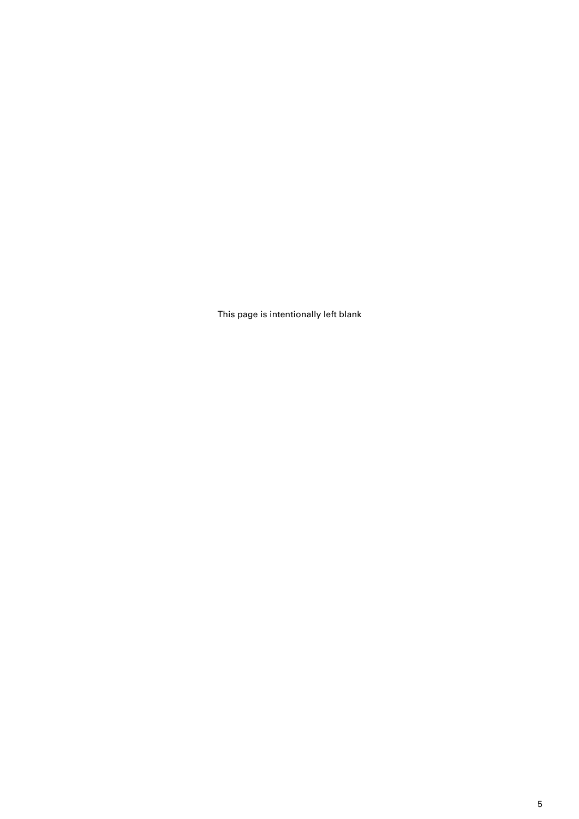This page is intentionally left blank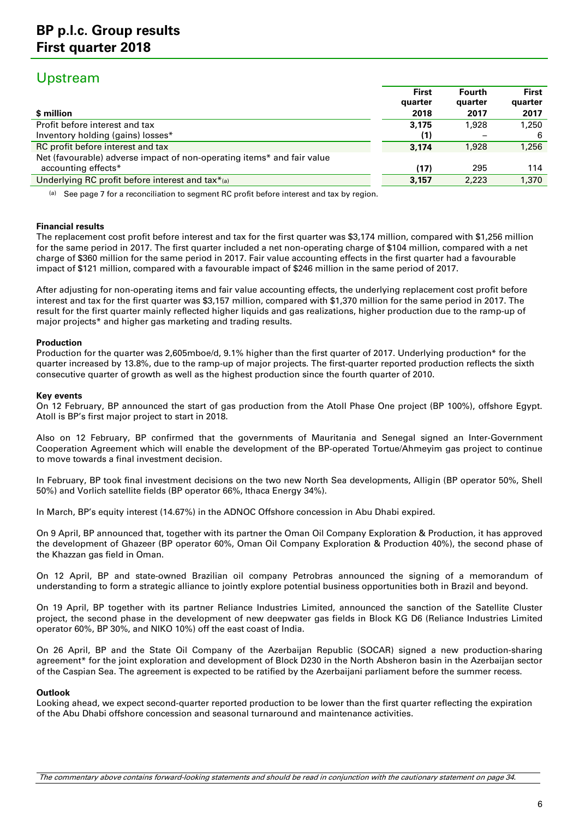## Upstream

|                                                                        | First<br>quarter | <b>Fourth</b><br>quarter | First<br>quarter |
|------------------------------------------------------------------------|------------------|--------------------------|------------------|
| \$ million                                                             | 2018             | 2017                     | 2017             |
| Profit before interest and tax                                         | 3,175            | 1,928                    | 1,250            |
| Inventory holding (gains) losses*                                      | (1)              |                          | -6               |
| RC profit before interest and tax                                      | 3,174            | 1,928                    | 1,256            |
| Net (favourable) adverse impact of non-operating items* and fair value |                  |                          |                  |
| accounting effects*                                                    | (17)             | 295                      | 114              |
| Underlying RC profit before interest and $\text{tax*}_{(a)}$           | 3,157            | 2.223                    | 1,370            |
|                                                                        |                  |                          |                  |

See page 7 for a reconciliation to segment RC profit before interest and tax by region.

### **Financial results**

The replacement cost profit before interest and tax for the first quarter was \$3,174 million, compared with \$1,256 million for the same period in 2017. The first quarter included a net non-operating charge of \$104 million, compared with a net charge of \$360 million for the same period in 2017. Fair value accounting effects in the first quarter had a favourable impact of \$121 million, compared with a favourable impact of \$246 million in the same period of 2017.

After adjusting for non-operating items and fair value accounting effects, the underlying replacement cost profit before interest and tax for the first quarter was \$3,157 million, compared with \$1,370 million for the same period in 2017. The result for the first quarter mainly reflected higher liquids and gas realizations, higher production due to the ramp-up of major projects\* and higher gas marketing and trading results.

### **Production**

Production for the quarter was 2,605mboe/d, 9.1% higher than the first quarter of 2017. Underlying production\* for the quarter increased by 13.8%, due to the ramp-up of major projects. The first-quarter reported production reflects the sixth consecutive quarter of growth as well as the highest production since the fourth quarter of 2010.

### **Key events**

On 12 February, BP announced the start of gas production from the Atoll Phase One project (BP 100%), offshore Egypt. Atoll is BP's first major project to start in 2018.

Also on 12 February, BP confirmed that the governments of Mauritania and Senegal signed an Inter-Government Cooperation Agreement which will enable the development of the BP-operated Tortue/Ahmeyim gas project to continue to move towards a final investment decision.

In February, BP took final investment decisions on the two new North Sea developments, Alligin (BP operator 50%, Shell 50%) and Vorlich satellite fields (BP operator 66%, Ithaca Energy 34%).

In March, BP's equity interest (14.67%) in the ADNOC Offshore concession in Abu Dhabi expired.

On 9 April, BP announced that, together with its partner the Oman Oil Company Exploration & Production, it has approved the development of Ghazeer (BP operator 60%, Oman Oil Company Exploration & Production 40%), the second phase of the Khazzan gas field in Oman.

On 12 April, BP and state-owned Brazilian oil company Petrobras announced the signing of a memorandum of understanding to form a strategic alliance to jointly explore potential business opportunities both in Brazil and beyond.

On 19 April, BP together with its partner Reliance Industries Limited, announced the sanction of the Satellite Cluster project, the second phase in the development of new deepwater gas fields in Block KG D6 (Reliance Industries Limited operator 60%, BP 30%, and NIKO 10%) off the east coast of India.

On 26 April, BP and the State Oil Company of the Azerbaijan Republic (SOCAR) signed a new production-sharing agreement\* for the joint exploration and development of Block D230 in the North Absheron basin in the Azerbaijan sector of the Caspian Sea. The agreement is expected to be ratified by the Azerbaijani parliament before the summer recess.

### **Outlook**

Looking ahead, we expect second-quarter reported production to be lower than the first quarter reflecting the expiration of the Abu Dhabi offshore concession and seasonal turnaround and maintenance activities.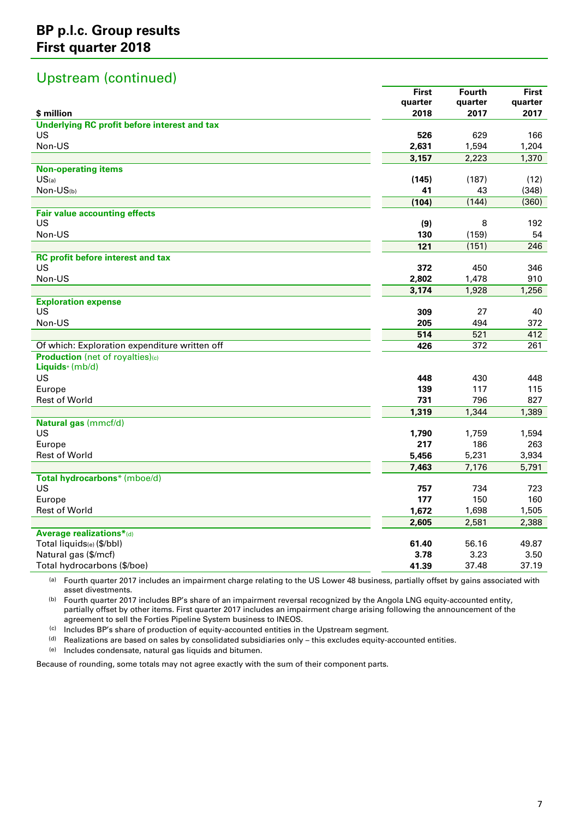## Upstream (continued)

|                                                           | <b>First</b> | <b>Fourth</b> | <b>First</b> |
|-----------------------------------------------------------|--------------|---------------|--------------|
|                                                           | quarter      | quarter       | quarter      |
| \$ million                                                | 2018         | 2017          | 2017         |
| <b>Underlying RC profit before interest and tax</b><br>US | 526          | 629           | 166          |
| Non-US                                                    | 2,631        | 1,594         | 1,204        |
|                                                           |              |               |              |
|                                                           | 3,157        | 2,223         | 1,370        |
| <b>Non-operating items</b><br>US(a)                       | (145)        | (187)         | (12)         |
| Non-US(b)                                                 | 41           | 43            | (348)        |
|                                                           | (104)        | (144)         | (360)        |
| <b>Fair value accounting effects</b>                      |              |               |              |
| US                                                        | (9)          | 8             | 192          |
| Non-US                                                    | 130          | (159)         | 54           |
|                                                           | 121          | (151)         | 246          |
| <b>RC profit before interest and tax</b>                  |              |               |              |
| US                                                        | 372          | 450           | 346          |
| Non-US                                                    | 2,802        | 1,478         | 910          |
|                                                           | 3,174        | 1,928         | 1,256        |
| <b>Exploration expense</b>                                |              |               |              |
| US                                                        | 309          | 27            | 40           |
| Non-US                                                    | 205          | 494           | 372          |
|                                                           | 514          | 521           | 412          |
| Of which: Exploration expenditure written off             | 426          | 372           | 261          |
| Production (net of royalties)(c)                          |              |               |              |
| Liquids $*(mb/d)$                                         |              |               |              |
| US                                                        | 448          | 430           | 448          |
| Europe                                                    | 139          | 117           | 115          |
| <b>Rest of World</b>                                      | 731          | 796           | 827          |
|                                                           | 1,319        | 1,344         | 1,389        |
| Natural gas (mmcf/d)                                      |              |               |              |
| US                                                        | 1,790        | 1,759         | 1,594        |
| Europe                                                    | 217          | 186           | 263          |
| <b>Rest of World</b>                                      | 5,456        | 5,231         | 3,934        |
|                                                           | 7,463        | 7,176         | 5,791        |
| Total hydrocarbons* (mboe/d)                              |              |               |              |
| US                                                        | 757          | 734           | 723          |
| Europe                                                    | 177          | 150           | 160          |
| <b>Rest of World</b>                                      | 1,672        | 1,698         | 1,505        |
|                                                           | 2,605        | 2,581         | 2,388        |
| Average realizations*(d)                                  |              |               |              |
| Total liquids(e) (\$/bbl)                                 | 61.40        | 56.16         | 49.87        |
| Natural gas (\$/mcf)                                      | 3.78         | 3.23          | 3.50         |
| Total hydrocarbons (\$/boe)                               | 41.39        | 37.48         | 37.19        |

(a) Fourth quarter 2017 includes an impairment charge relating to the US Lower 48 business, partially offset by gains associated with asset divestments.

(b) Fourth quarter 2017 includes BP's share of an impairment reversal recognized by the Angola LNG equity-accounted entity, partially offset by other items. First quarter 2017 includes an impairment charge arising following the announcement of the agreement to sell the Forties Pipeline System business to INEOS.

(c) Includes BP's share of production of equity-accounted entities in the Upstream segment.

(d) Realizations are based on sales by consolidated subsidiaries only – this excludes equity-accounted entities.

(e) Includes condensate, natural gas liquids and bitumen.

Because of rounding, some totals may not agree exactly with the sum of their component parts.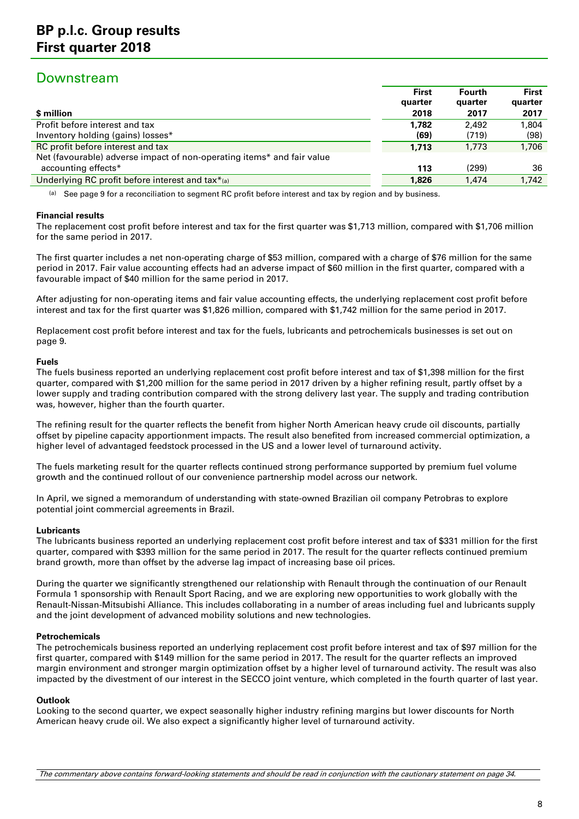## Downstream

|                                                                        | <b>First</b><br>quarter | Fourth<br>quarter | <b>First</b><br>quarter |
|------------------------------------------------------------------------|-------------------------|-------------------|-------------------------|
| \$ million                                                             | 2018                    | 2017              | 2017                    |
| Profit before interest and tax                                         | 1,782                   | 2.492             | 1,804                   |
| Inventory holding (gains) losses*                                      | (69)                    | (719)             | (98)                    |
| RC profit before interest and tax                                      | 1.713                   | 1,773             | 1,706                   |
| Net (favourable) adverse impact of non-operating items* and fair value |                         |                   |                         |
| accounting effects*                                                    | 113                     | (299)             | 36                      |
| Underlying RC profit before interest and tax*(a)                       | 1,826                   | 1.474             | 1,742                   |
|                                                                        |                         |                   |                         |

See page 9 for a reconciliation to segment RC profit before interest and tax by region and by business.

#### **Financial results**

The replacement cost profit before interest and tax for the first quarter was \$1,713 million, compared with \$1,706 million for the same period in 2017.

The first quarter includes a net non-operating charge of \$53 million, compared with a charge of \$76 million for the same period in 2017. Fair value accounting effects had an adverse impact of \$60 million in the first quarter, compared with a favourable impact of \$40 million for the same period in 2017.

After adjusting for non-operating items and fair value accounting effects, the underlying replacement cost profit before interest and tax for the first quarter was \$1,826 million, compared with \$1,742 million for the same period in 2017.

Replacement cost profit before interest and tax for the fuels, lubricants and petrochemicals businesses is set out on page 9.

#### **Fuels**

The fuels business reported an underlying replacement cost profit before interest and tax of \$1,398 million for the first quarter, compared with \$1,200 million for the same period in 2017 driven by a higher refining result, partly offset by a lower supply and trading contribution compared with the strong delivery last year. The supply and trading contribution was, however, higher than the fourth quarter.

The refining result for the quarter reflects the benefit from higher North American heavy crude oil discounts, partially offset by pipeline capacity apportionment impacts. The result also benefited from increased commercial optimization, a higher level of advantaged feedstock processed in the US and a lower level of turnaround activity.

The fuels marketing result for the quarter reflects continued strong performance supported by premium fuel volume growth and the continued rollout of our convenience partnership model across our network.

In April, we signed a memorandum of understanding with state-owned Brazilian oil company Petrobras to explore potential joint commercial agreements in Brazil.

### **Lubricants**

The lubricants business reported an underlying replacement cost profit before interest and tax of \$331 million for the first quarter, compared with \$393 million for the same period in 2017. The result for the quarter reflects continued premium brand growth, more than offset by the adverse lag impact of increasing base oil prices.

During the quarter we significantly strengthened our relationship with Renault through the continuation of our Renault Formula 1 sponsorship with Renault Sport Racing, and we are exploring new opportunities to work globally with the Renault-Nissan-Mitsubishi Alliance. This includes collaborating in a number of areas including fuel and lubricants supply and the joint development of advanced mobility solutions and new technologies.

### **Petrochemicals**

The petrochemicals business reported an underlying replacement cost profit before interest and tax of \$97 million for the first quarter, compared with \$149 million for the same period in 2017. The result for the quarter reflects an improved margin environment and stronger margin optimization offset by a higher level of turnaround activity. The result was also impacted by the divestment of our interest in the SECCO joint venture, which completed in the fourth quarter of last year.

#### **Outlook**

Looking to the second quarter, we expect seasonally higher industry refining margins but lower discounts for North American heavy crude oil. We also expect a significantly higher level of turnaround activity.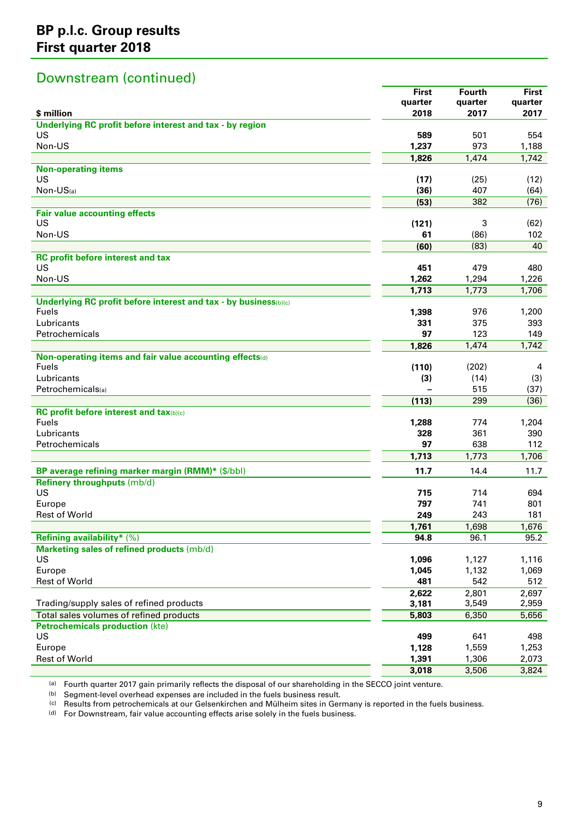## Downstream (continued)

|                                                                  | <b>First</b><br>quarter | <b>Fourth</b><br>quarter | First<br>quarter |
|------------------------------------------------------------------|-------------------------|--------------------------|------------------|
| \$ million                                                       | 2018                    | 2017                     | 2017             |
| Underlying RC profit before interest and tax - by region         |                         |                          |                  |
| US                                                               | 589                     | 501                      | 554              |
| Non-US                                                           | 1,237                   | 973                      | 1,188            |
|                                                                  | 1,826                   | 1,474                    | 1,742            |
| <b>Non-operating items</b>                                       |                         |                          |                  |
| US<br>$Non-US(a)$                                                | (17)<br>(36)            | (25)<br>407              | (12)             |
|                                                                  | (53)                    | 382                      | (64)<br>(76)     |
| <b>Fair value accounting effects</b>                             |                         |                          |                  |
| US                                                               | (121)                   | 3                        | (62)             |
| Non-US                                                           | 61                      | (86)                     | 102              |
|                                                                  | (60)                    | (83)                     | 40               |
| <b>RC</b> profit before interest and tax                         |                         |                          |                  |
| US                                                               | 451                     | 479                      | 480              |
| Non-US                                                           | 1,262                   | 1,294                    | 1,226            |
|                                                                  | 1,713                   | 1,773                    | 1,706            |
| Underlying RC profit before interest and tax - by business(b)(c) |                         |                          |                  |
| <b>Fuels</b><br>Lubricants                                       | 1,398<br>331            | 976<br>375               | 1,200<br>393     |
| Petrochemicals                                                   | 97                      | 123                      | 149              |
|                                                                  | 1,826                   | 1,474                    | 1,742            |
| Non-operating items and fair value accounting effects(d)         |                         |                          |                  |
| Fuels                                                            | (110)                   | (202)                    | 4                |
| Lubricants                                                       | (3)                     | (14)                     | (3)              |
| Petrochemicals(a)                                                |                         | 515                      | (37)             |
|                                                                  | (113)                   | 299                      | (36)             |
| RC profit before interest and tax(b)(c)                          |                         |                          |                  |
| Fuels                                                            | 1,288                   | 774                      | 1,204            |
| Lubricants                                                       | 328                     | 361                      | 390              |
| Petrochemicals                                                   | 97                      | 638                      | 112              |
|                                                                  | 1,713                   | 1,773                    | 1,706            |
| BP average refining marker margin (RMM)* (\$/bbl)                | 11.7                    | 14.4                     | 11.7             |
| <b>Refinery throughputs (mb/d)</b>                               |                         |                          |                  |
| US                                                               | 715<br>797              | 714<br>741               | 694<br>801       |
| Europe<br><b>Rest of World</b>                                   | 249                     | 243                      | 181              |
|                                                                  | 1,761                   | 1,698                    | 1,676            |
| <b>Refining availability*</b> (%)                                | 94.8                    | 96.1                     | 95.2             |
| Marketing sales of refined products (mb/d)                       |                         |                          |                  |
| US.                                                              | 1,096                   | 1,127                    | 1,116            |
| Europe                                                           | 1,045                   | 1,132                    | 1,069            |
| Rest of World                                                    | 481                     | 542                      | 512              |
|                                                                  | 2,622                   | 2,801                    | 2,697            |
| Trading/supply sales of refined products                         | 3,181                   | 3,549                    | 2,959            |
| Total sales volumes of refined products                          | 5,803                   | 6,350                    | 5,656            |
| <b>Petrochemicals production (kte)</b><br>US                     |                         | 641                      |                  |
| Europe                                                           | 499<br>1,128            | 1,559                    | 498<br>1,253     |
| Rest of World                                                    | 1,391                   | 1,306                    | 2,073            |
|                                                                  | 3,018                   | 3,506                    | 3,824            |
|                                                                  |                         |                          |                  |

(a) Fourth quarter 2017 gain primarily reflects the disposal of our shareholding in the SECCO joint venture.

(b) Segment-level overhead expenses are included in the fuels business result.

(c) Results from petrochemicals at our Gelsenkirchen and Mülheim sites in Germany is reported in the fuels business.

(d) For Downstream, fair value accounting effects arise solely in the fuels business.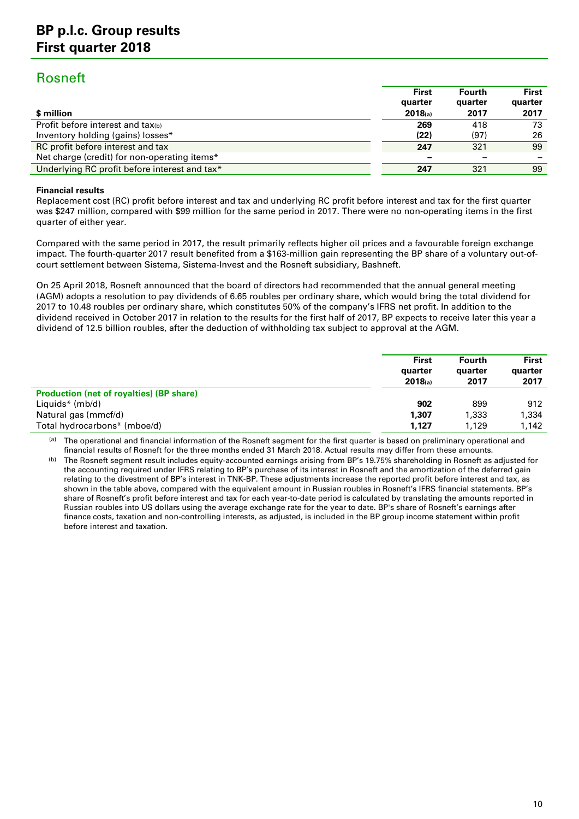# Rosneft

|                                               | <b>First</b><br>quarter | Fourth<br>quarter | First<br>quarter |
|-----------------------------------------------|-------------------------|-------------------|------------------|
| \$ million                                    | 2018(a)                 | 2017              | 2017             |
| Profit before interest and tax(b)             | 269                     | 418               | 73               |
| Inventory holding (gains) losses*             | (22)                    | (97)              | 26               |
| RC profit before interest and tax             | 247                     | 321               | 99               |
| Net charge (credit) for non-operating items*  |                         |                   |                  |
| Underlying RC profit before interest and tax* | 247                     | 321               | 99               |

### **Financial results**

Replacement cost (RC) profit before interest and tax and underlying RC profit before interest and tax for the first quarter was \$247 million, compared with \$99 million for the same period in 2017. There were no non-operating items in the first quarter of either year.

Compared with the same period in 2017, the result primarily reflects higher oil prices and a favourable foreign exchange impact. The fourth-quarter 2017 result benefited from a \$163-million gain representing the BP share of a voluntary out-ofcourt settlement between Sistema, Sistema-Invest and the Rosneft subsidiary, Bashneft.

On 25 April 2018, Rosneft announced that the board of directors had recommended that the annual general meeting (AGM) adopts a resolution to pay dividends of 6.65 roubles per ordinary share, which would bring the total dividend for 2017 to 10.48 roubles per ordinary share, which constitutes 50% of the company's IFRS net profit. In addition to the dividend received in October 2017 in relation to the results for the first half of 2017, BP expects to receive later this year a dividend of 12.5 billion roubles, after the deduction of withholding tax subject to approval at the AGM.

|                                                 | First<br>quarter<br>2018(a) | Fourth<br>quarter<br>2017 | <b>First</b><br>quarter<br>2017 |
|-------------------------------------------------|-----------------------------|---------------------------|---------------------------------|
| <b>Production (net of royalties) (BP share)</b> |                             |                           |                                 |
| Liquids $*$ (mb/d)                              | 902                         | 899                       | 912                             |
| Natural gas (mmcf/d)                            | 1,307                       | 1,333                     | 1,334                           |
| Total hydrocarbons* (mboe/d)                    | 1,127                       | 1.129                     | 1.142                           |

(a) The operational and financial information of the Rosneft segment for the first quarter is based on preliminary operational and financial results of Rosneft for the three months ended 31 March 2018. Actual results may differ from these amounts.

(b) The Rosneft segment result includes equity-accounted earnings arising from BP's 19.75% shareholding in Rosneft as adjusted for the accounting required under IFRS relating to BP's purchase of its interest in Rosneft and the amortization of the deferred gain relating to the divestment of BP's interest in TNK-BP. These adjustments increase the reported profit before interest and tax, as shown in the table above, compared with the equivalent amount in Russian roubles in Rosneft's IFRS financial statements. BP's share of Rosneft's profit before interest and tax for each year-to-date period is calculated by translating the amounts reported in Russian roubles into US dollars using the average exchange rate for the year to date. BP's share of Rosneft's earnings after finance costs, taxation and non-controlling interests, as adjusted, is included in the BP group income statement within profit before interest and taxation.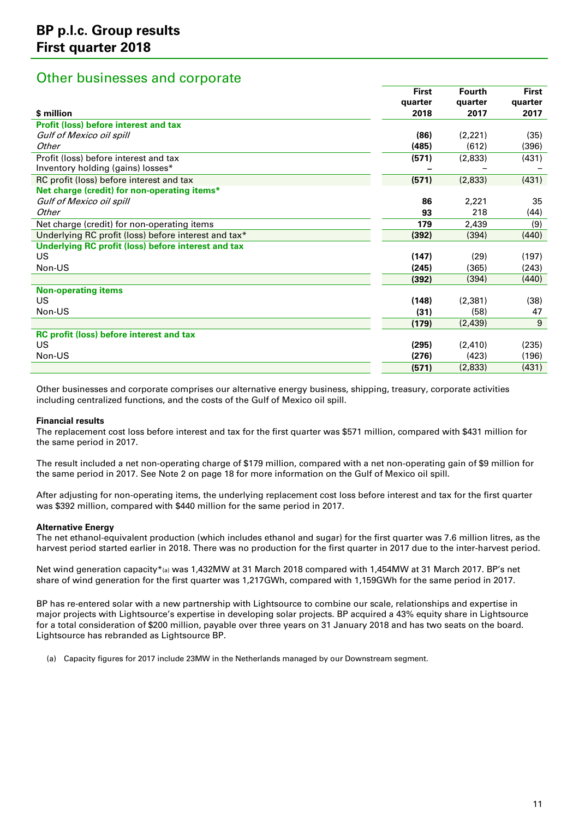## Other businesses and corporate

|                                                      | <b>First</b> | <b>Fourth</b> | <b>First</b> |
|------------------------------------------------------|--------------|---------------|--------------|
|                                                      | quarter      | quarter       | quarter      |
| \$ million                                           | 2018         | 2017          | 2017         |
| Profit (loss) before interest and tax                |              |               |              |
| Gulf of Mexico oil spill                             | (86)         | (2,221)       | (35)         |
| Other                                                | (485)        | (612)         | (396)        |
| Profit (loss) before interest and tax                | (571)        | (2,833)       | (431)        |
| Inventory holding (gains) losses*                    |              |               |              |
| RC profit (loss) before interest and tax             | (571)        | (2,833)       | (431)        |
| Net charge (credit) for non-operating items*         |              |               |              |
| Gulf of Mexico oil spill                             | 86           | 2,221         | 35           |
| Other                                                | 93           | 218           | (44)         |
| Net charge (credit) for non-operating items          | 179          | 2,439         | (9)          |
| Underlying RC profit (loss) before interest and tax* | (392)        | (394)         | (440)        |
| Underlying RC profit (loss) before interest and tax  |              |               |              |
| US                                                   | (147)        | (29)          | (197)        |
| Non-US                                               | (245)        | (365)         | (243)        |
|                                                      | (392)        | (394)         | (440)        |
| <b>Non-operating items</b>                           |              |               |              |
| US                                                   | (148)        | (2, 381)      | (38)         |
| Non-US                                               | (31)         | (58)          | 47           |
|                                                      | (179)        | (2, 439)      | 9            |
| <b>RC profit (loss) before interest and tax</b>      |              |               |              |
| US                                                   | (295)        | (2, 410)      | (235)        |
| Non-US                                               | (276)        | (423)         | (196)        |
|                                                      | (571)        | (2,833)       | (431)        |

Other businesses and corporate comprises our alternative energy business, shipping, treasury, corporate activities including centralized functions, and the costs of the Gulf of Mexico oil spill.

### **Financial results**

The replacement cost loss before interest and tax for the first quarter was \$571 million, compared with \$431 million for the same period in 2017.

The result included a net non-operating charge of \$179 million, compared with a net non-operating gain of \$9 million for the same period in 2017. See Note 2 on page 18 for more information on the Gulf of Mexico oil spill.

After adjusting for non-operating items, the underlying replacement cost loss before interest and tax for the first quarter was \$392 million, compared with \$440 million for the same period in 2017.

### **Alternative Energy**

The net ethanol-equivalent production (which includes ethanol and sugar) for the first quarter was 7.6 million litres, as the harvest period started earlier in 2018. There was no production for the first quarter in 2017 due to the inter-harvest period.

Net wind generation capacity\*(a) was 1,432MW at 31 March 2018 compared with 1,454MW at 31 March 2017. BP's net share of wind generation for the first quarter was 1,217GWh, compared with 1,159GWh for the same period in 2017.

BP has re-entered solar with a new partnership with Lightsource to combine our scale, relationships and expertise in major projects with Lightsource's expertise in developing solar projects. BP acquired a 43% equity share in Lightsource for a total consideration of \$200 million, payable over three years on 31 January 2018 and has two seats on the board. Lightsource has rebranded as Lightsource BP.

(a) Capacity figures for 2017 include 23MW in the Netherlands managed by our Downstream segment.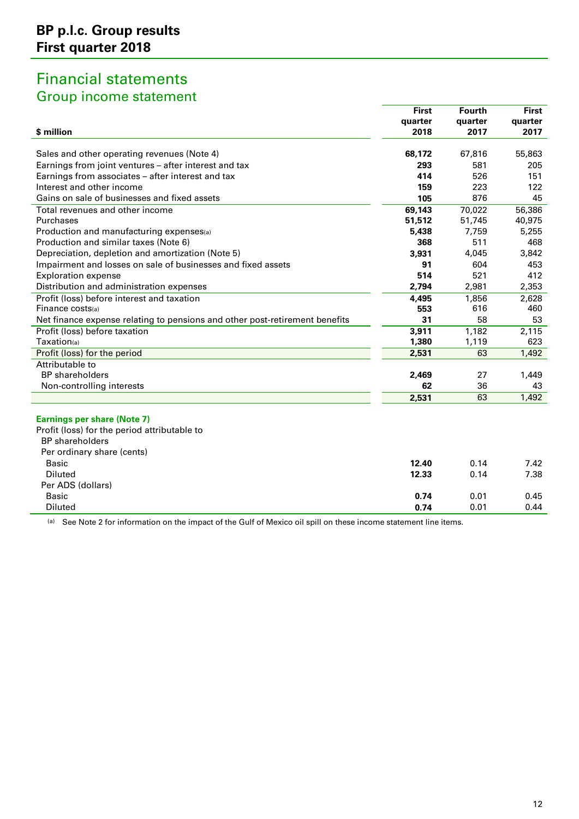## **BP p.l.c. Group results First quarter 2018**

# Financial statements Group income statement

|                                                                             | <b>First</b> | <b>Fourth</b> | <b>First</b> |
|-----------------------------------------------------------------------------|--------------|---------------|--------------|
|                                                                             | quarter      | quarter       | quarter      |
| \$ million                                                                  | 2018         | 2017          | 2017         |
|                                                                             |              |               |              |
| Sales and other operating revenues (Note 4)                                 | 68,172       | 67,816        | 55,863       |
| Earnings from joint ventures - after interest and tax                       | 293          | 581           | 205          |
| Earnings from associates - after interest and tax                           | 414          | 526           | 151          |
| Interest and other income                                                   | 159          | 223           | 122          |
| Gains on sale of businesses and fixed assets                                | 105          | 876           | 45           |
| Total revenues and other income                                             | 69,143       | 70,022        | 56,386       |
| Purchases                                                                   | 51,512       | 51,745        | 40,975       |
| Production and manufacturing expenses(a)                                    | 5,438        | 7,759         | 5,255        |
| Production and similar taxes (Note 6)                                       | 368          | 511           | 468          |
| Depreciation, depletion and amortization (Note 5)                           | 3,931        | 4,045         | 3,842        |
| Impairment and losses on sale of businesses and fixed assets                | 91           | 604           | 453          |
| <b>Exploration expense</b>                                                  | 514          | 521           | 412          |
| Distribution and administration expenses                                    | 2,794        | 2,981         | 2,353        |
| Profit (loss) before interest and taxation                                  | 4,495        | 1,856         | 2,628        |
| Finance costs(a)                                                            | 553          | 616           | 460          |
| Net finance expense relating to pensions and other post-retirement benefits | 31           | 58            | 53           |
| Profit (loss) before taxation                                               | 3,911        | 1,182         | 2,115        |
| Taxation(a)                                                                 | 1,380        | 1,119         | 623          |
| Profit (loss) for the period                                                | 2,531        | 63            | 1,492        |
| Attributable to                                                             |              |               |              |
| <b>BP</b> shareholders                                                      | 2,469        | 27            | 1,449        |
| Non-controlling interests                                                   | 62           | 36            | 43           |
|                                                                             | 2,531        | 63            | 1,492        |
|                                                                             |              |               |              |
| <b>Earnings per share (Note 7)</b>                                          |              |               |              |
| Profit (loss) for the period attributable to                                |              |               |              |
| <b>BP</b> shareholders                                                      |              |               |              |
| Per ordinary share (cents)                                                  |              |               |              |
| <b>Basic</b>                                                                | 12.40        | 0.14          | 7.42         |
| <b>Diluted</b>                                                              | 12.33        | 0.14          | 7.38         |
| Per ADS (dollars)                                                           |              |               |              |
| <b>Basic</b>                                                                | 0.74         | 0.01          | 0.45         |
| <b>Diluted</b>                                                              | 0.74         | 0.01          | 0.44         |

(a) See Note 2 for information on the impact of the Gulf of Mexico oil spill on these income statement line items.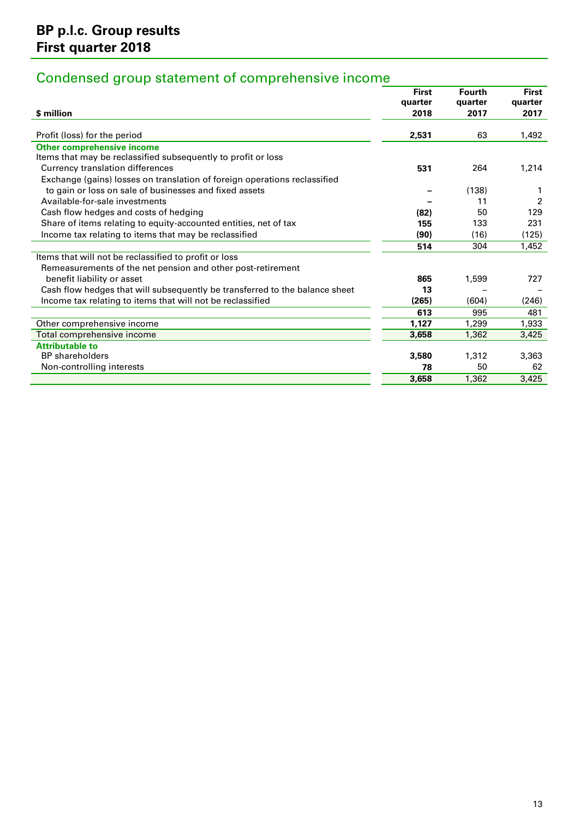# Condensed group statement of comprehensive income

|                                                                             | <b>First</b> | Fourth  | First          |
|-----------------------------------------------------------------------------|--------------|---------|----------------|
|                                                                             | quarter      | quarter | quarter        |
| \$ million                                                                  | 2018         | 2017    | 2017           |
|                                                                             |              |         |                |
| Profit (loss) for the period                                                | 2,531        | 63      | 1,492          |
| <b>Other comprehensive income</b>                                           |              |         |                |
| Items that may be reclassified subsequently to profit or loss               |              |         |                |
| <b>Currency translation differences</b>                                     | 531          | 264     | 1,214          |
| Exchange (gains) losses on translation of foreign operations reclassified   |              |         |                |
| to gain or loss on sale of businesses and fixed assets                      |              | (138)   |                |
| Available-for-sale investments                                              |              | 11      | $\overline{2}$ |
| Cash flow hedges and costs of hedging                                       | (82)         | 50      | 129            |
| Share of items relating to equity-accounted entities, net of tax            | 155          | 133     | 231            |
| Income tax relating to items that may be reclassified                       | (90)         | (16)    | (125)          |
|                                                                             | 514          | 304     | 1,452          |
| Items that will not be reclassified to profit or loss                       |              |         |                |
| Remeasurements of the net pension and other post-retirement                 |              |         |                |
| benefit liability or asset                                                  | 865          | 1,599   | 727            |
| Cash flow hedges that will subsequently be transferred to the balance sheet | 13           |         |                |
| Income tax relating to items that will not be reclassified                  | (265)        | (604)   | (246)          |
|                                                                             | 613          | 995     | 481            |
| Other comprehensive income                                                  | 1,127        | 1,299   | 1,933          |
| Total comprehensive income                                                  | 3,658        | 1,362   | 3,425          |
| <b>Attributable to</b>                                                      |              |         |                |
| <b>BP</b> shareholders                                                      | 3,580        | 1,312   | 3,363          |
| Non-controlling interests                                                   | 78           | 50      | 62             |
|                                                                             | 3,658        | 1,362   | 3,425          |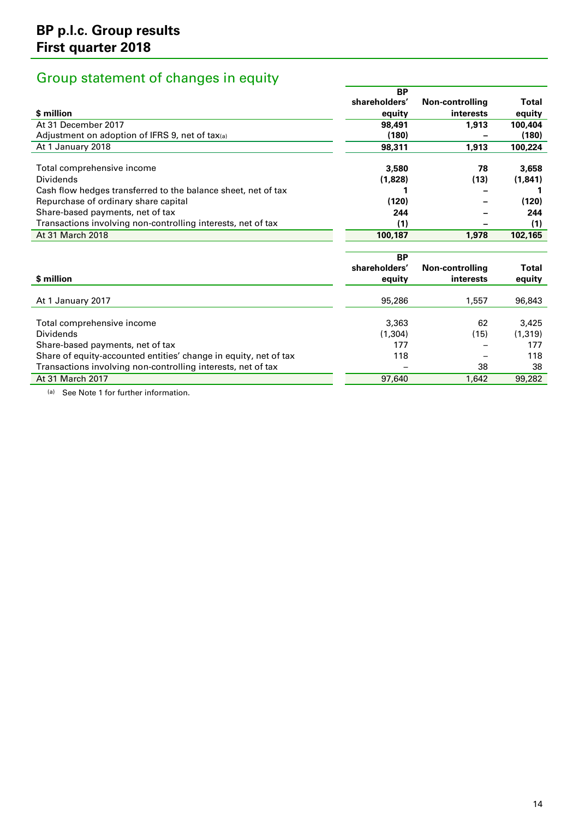# Group statement of changes in equity

|                                                               | <b>BP</b>     |                 |              |
|---------------------------------------------------------------|---------------|-----------------|--------------|
|                                                               | shareholders' | Non-controlling | <b>Total</b> |
| \$ million                                                    | equity        | interests       | equity       |
| At 31 December 2017                                           | 98,491        | 1,913           | 100,404      |
| Adjustment on adoption of IFRS 9, net of tax(a)               | (180)         |                 | (180)        |
| At 1 January 2018                                             | 98,311        | 1,913           | 100,224      |
|                                                               |               |                 |              |
| Total comprehensive income                                    | 3,580         | 78              | 3,658        |
| <b>Dividends</b>                                              | (1,828)       | (13)            | (1,841)      |
| Cash flow hedges transferred to the balance sheet, net of tax |               |                 |              |
| Repurchase of ordinary share capital                          | (120)         |                 | (120)        |
| Share-based payments, net of tax                              | 244           |                 | 244          |
| Transactions involving non-controlling interests, net of tax  | (1)           |                 | (1)          |
| At 31 March 2018                                              | 100,187       | 1,978           | 102,165      |
|                                                               |               |                 |              |

|                                                                  | ВP<br>shareholders' | Non-controlling | Total    |
|------------------------------------------------------------------|---------------------|-----------------|----------|
| \$ million                                                       | equity              | interests       | equity   |
| At 1 January 2017                                                | 95,286              | 1.557           | 96,843   |
| Total comprehensive income                                       | 3,363               | 62              | 3,425    |
| <b>Dividends</b>                                                 | (1,304)             | (15)            | (1, 319) |
| Share-based payments, net of tax                                 | 177                 |                 | 177      |
| Share of equity-accounted entities' change in equity, net of tax | 118                 |                 | 118      |
| Transactions involving non-controlling interests, net of tax     |                     | 38              | 38       |
| At 31 March 2017                                                 | 97,640              | 1.642           | 99,282   |

(a) See Note 1 for further information.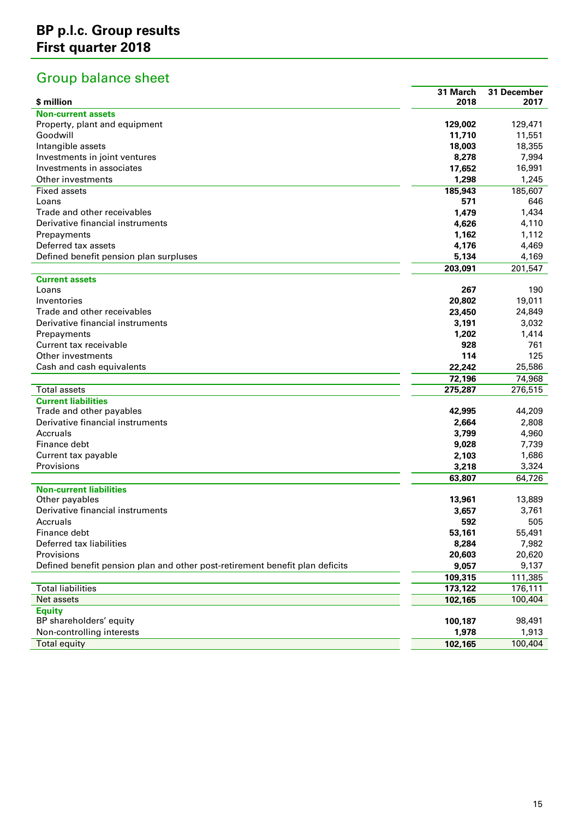# Group balance sheet

|                                                                              | 31 March | 31 December |
|------------------------------------------------------------------------------|----------|-------------|
| \$ million                                                                   | 2018     | 2017        |
| <b>Non-current assets</b>                                                    |          |             |
| Property, plant and equipment                                                | 129,002  | 129,471     |
| Goodwill                                                                     | 11,710   | 11,551      |
| Intangible assets                                                            | 18,003   | 18,355      |
| Investments in joint ventures                                                | 8,278    | 7,994       |
| Investments in associates                                                    | 17,652   | 16,991      |
| Other investments                                                            | 1,298    | 1,245       |
| <b>Fixed assets</b>                                                          | 185,943  | 185,607     |
| Loans                                                                        | 571      | 646         |
| Trade and other receivables                                                  | 1,479    | 1,434       |
| Derivative financial instruments                                             | 4,626    | 4,110       |
| Prepayments                                                                  | 1,162    | 1,112       |
| Deferred tax assets                                                          | 4,176    | 4,469       |
| Defined benefit pension plan surpluses                                       | 5,134    | 4,169       |
|                                                                              | 203,091  | 201,547     |
| <b>Current assets</b>                                                        |          |             |
| Loans                                                                        | 267      | 190         |
| Inventories                                                                  | 20,802   | 19,011      |
| Trade and other receivables                                                  | 23,450   | 24,849      |
| Derivative financial instruments                                             | 3,191    | 3,032       |
| Prepayments                                                                  | 1,202    | 1,414       |
| Current tax receivable                                                       | 928      | 761         |
| Other investments                                                            | 114      | 125         |
| Cash and cash equivalents                                                    | 22,242   | 25,586      |
|                                                                              | 72,196   | 74,968      |
| <b>Total assets</b>                                                          | 275,287  | 276,515     |
| <b>Current liabilities</b>                                                   |          |             |
| Trade and other payables                                                     | 42,995   | 44,209      |
| Derivative financial instruments                                             | 2,664    | 2,808       |
| Accruals                                                                     | 3,799    | 4,960       |
| Finance debt                                                                 | 9,028    | 7,739       |
| Current tax payable                                                          | 2,103    | 1,686       |
| Provisions                                                                   | 3,218    | 3,324       |
|                                                                              | 63,807   | 64,726      |
| <b>Non-current liabilities</b>                                               |          |             |
| Other payables                                                               | 13,961   | 13,889      |
| Derivative financial instruments                                             | 3,657    | 3,761       |
| Accruals                                                                     | 592      | 505         |
| Finance debt                                                                 | 53,161   | 55,491      |
| Deferred tax liabilities                                                     | 8,284    | 7,982       |
| Provisions                                                                   | 20,603   | 20,620      |
| Defined benefit pension plan and other post-retirement benefit plan deficits | 9,057    | 9,137       |
|                                                                              |          |             |
|                                                                              | 109,315  | 111,385     |
| <b>Total liabilities</b>                                                     | 173,122  | 176,111     |
| Net assets                                                                   | 102,165  | 100,404     |
| <b>Equity</b>                                                                |          |             |
| BP shareholders' equity                                                      | 100,187  | 98,491      |
| Non-controlling interests                                                    | 1,978    | 1,913       |
| <b>Total equity</b>                                                          | 102,165  | 100,404     |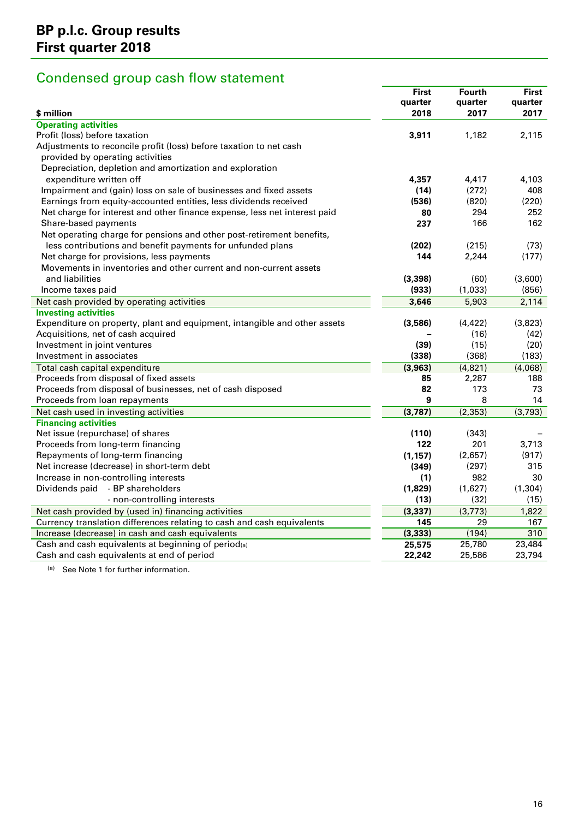# Condensed group cash flow statement

|                                                                           | <b>First</b> | <b>Fourth</b> | <b>First</b> |
|---------------------------------------------------------------------------|--------------|---------------|--------------|
|                                                                           | quarter      | quarter       | quarter      |
| \$ million                                                                | 2018         | 2017          | 2017         |
| <b>Operating activities</b>                                               |              |               |              |
| Profit (loss) before taxation                                             | 3,911        | 1,182         | 2,115        |
| Adjustments to reconcile profit (loss) before taxation to net cash        |              |               |              |
| provided by operating activities                                          |              |               |              |
| Depreciation, depletion and amortization and exploration                  |              |               |              |
| expenditure written off                                                   | 4,357        | 4,417         | 4,103        |
| Impairment and (gain) loss on sale of businesses and fixed assets         | (14)         | (272)         | 408          |
| Earnings from equity-accounted entities, less dividends received          | (536)        | (820)         | (220)        |
| Net charge for interest and other finance expense, less net interest paid | 80           | 294           | 252          |
| Share-based payments                                                      | 237          | 166           | 162          |
| Net operating charge for pensions and other post-retirement benefits,     |              |               |              |
| less contributions and benefit payments for unfunded plans                | (202)        | (215)         | (73)         |
| Net charge for provisions, less payments                                  | 144          | 2,244         | (177)        |
| Movements in inventories and other current and non-current assets         |              |               |              |
| and liabilities                                                           | (3, 398)     | (60)          | (3,600)      |
| Income taxes paid                                                         | (933)        | (1,033)       | (856)        |
| Net cash provided by operating activities                                 | 3,646        | 5,903         | 2,114        |
| <b>Investing activities</b>                                               |              |               |              |
| Expenditure on property, plant and equipment, intangible and other assets | (3,586)      | (4, 422)      | (3,823)      |
| Acquisitions, net of cash acquired                                        |              | (16)          | (42)         |
| Investment in joint ventures                                              | (39)         | (15)          | (20)         |
| Investment in associates                                                  | (338)        | (368)         | (183)        |
| Total cash capital expenditure                                            | (3,963)      | (4,821)       | (4,068)      |
| Proceeds from disposal of fixed assets                                    | 85           | 2,287         | 188          |
| Proceeds from disposal of businesses, net of cash disposed                | 82           | 173           | 73           |
| Proceeds from loan repayments                                             | 9            | 8             | 14           |
| Net cash used in investing activities                                     | (3,787)      | (2, 353)      | (3,793)      |
| <b>Financing activities</b>                                               |              |               |              |
| Net issue (repurchase) of shares                                          | (110)        | (343)         |              |
| Proceeds from long-term financing                                         | 122          | 201           | 3,713        |
| Repayments of long-term financing                                         | (1, 157)     | (2,657)       | (917)        |
| Net increase (decrease) in short-term debt                                | (349)        | (297)         | 315          |
| Increase in non-controlling interests                                     | (1)          | 982           | 30           |
| Dividends paid - BP shareholders                                          | (1,829)      | (1,627)       | (1, 304)     |
| - non-controlling interests                                               | (13)         | (32)          | (15)         |
| Net cash provided by (used in) financing activities                       | (3, 337)     | (3,773)       | 1,822        |
| Currency translation differences relating to cash and cash equivalents    | 145          | 29            | 167          |
| Increase (decrease) in cash and cash equivalents                          | (3, 333)     | (194)         | 310          |
| Cash and cash equivalents at beginning of period(a)                       | 25,575       | 25,780        | 23,484       |
| Cash and cash equivalents at end of period                                | 22,242       | 25,586        | 23,794       |

(a) See Note 1 for further information.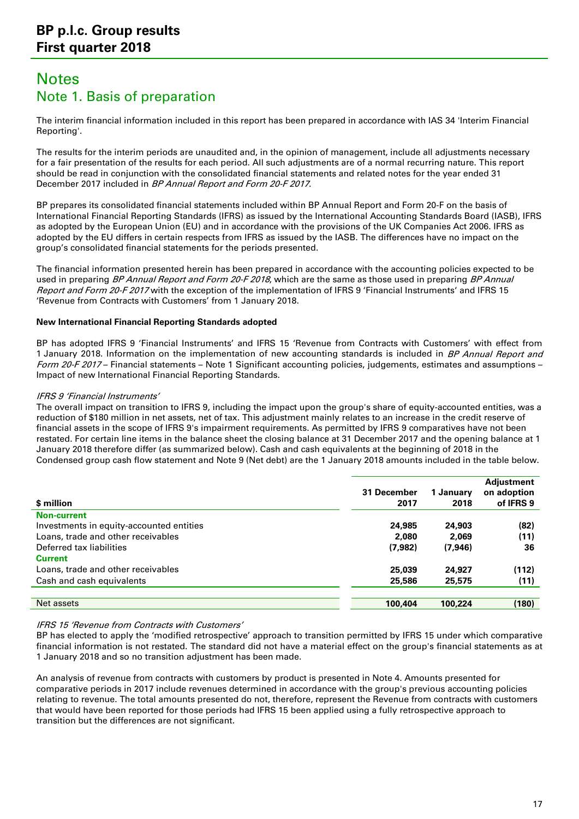## Notes Note 1. Basis of preparation

The interim financial information included in this report has been prepared in accordance with IAS 34 'Interim Financial Reporting'.

The results for the interim periods are unaudited and, in the opinion of management, include all adjustments necessary for a fair presentation of the results for each period. All such adjustments are of a normal recurring nature. This report should be read in conjunction with the consolidated financial statements and related notes for the year ended 31 December 2017 included in BP Annual Report and Form 20-F 2017.

BP prepares its consolidated financial statements included within BP Annual Report and Form 20-F on the basis of International Financial Reporting Standards (IFRS) as issued by the International Accounting Standards Board (IASB), IFRS as adopted by the European Union (EU) and in accordance with the provisions of the UK Companies Act 2006. IFRS as adopted by the EU differs in certain respects from IFRS as issued by the IASB. The differences have no impact on the group's consolidated financial statements for the periods presented.

The financial information presented herein has been prepared in accordance with the accounting policies expected to be used in preparing BP Annual Report and Form 20-F 2018, which are the same as those used in preparing BP Annual Report and Form 20-F 2017 with the exception of the implementation of IFRS 9 'Financial Instruments' and IFRS 15 'Revenue from Contracts with Customers' from 1 January 2018.

### **New International Financial Reporting Standards adopted**

BP has adopted IFRS 9 'Financial Instruments' and IFRS 15 'Revenue from Contracts with Customers' with effect from 1 January 2018. Information on the implementation of new accounting standards is included in BP Annual Report and Form 20-F 2017 – Financial statements – Note 1 Significant accounting policies, judgements, estimates and assumptions – Impact of new International Financial Reporting Standards.

### IFRS 9 'Financial Instruments'

The overall impact on transition to IFRS 9, including the impact upon the group's share of equity-accounted entities, was a reduction of \$180 million in net assets, net of tax. This adjustment mainly relates to an increase in the credit reserve of financial assets in the scope of IFRS 9's impairment requirements. As permitted by IFRS 9 comparatives have not been restated. For certain line items in the balance sheet the closing balance at 31 December 2017 and the opening balance at 1 January 2018 therefore differ (as summarized below). Cash and cash equivalents at the beginning of 2018 in the Condensed group cash flow statement and Note 9 (Net debt) are the 1 January 2018 amounts included in the table below.

| \$ million                               | 31 December<br>2017 | 1 Januarv<br>2018 | Adjustment<br>on adoption<br>of IFRS 9 |
|------------------------------------------|---------------------|-------------------|----------------------------------------|
| <b>Non-current</b>                       |                     |                   |                                        |
| Investments in equity-accounted entities | 24,985              | 24,903            | (82)                                   |
| Loans, trade and other receivables       | 2,080               | 2,069             | (11)                                   |
| Deferred tax liabilities                 | (7,982)             | (7,946)           | 36                                     |
| <b>Current</b>                           |                     |                   |                                        |
| Loans, trade and other receivables       | 25,039              | 24,927            | (112)                                  |
| Cash and cash equivalents                | 25,586              | 25,575            | (11)                                   |
|                                          |                     |                   |                                        |
| Net assets                               | 100,404             | 100,224           | (180)                                  |

### IFRS 15 'Revenue from Contracts with Customers'

BP has elected to apply the 'modified retrospective' approach to transition permitted by IFRS 15 under which comparative financial information is not restated. The standard did not have a material effect on the group's financial statements as at 1 January 2018 and so no transition adjustment has been made.

An analysis of revenue from contracts with customers by product is presented in Note 4. Amounts presented for comparative periods in 2017 include revenues determined in accordance with the group's previous accounting policies relating to revenue. The total amounts presented do not, therefore, represent the Revenue from contracts with customers that would have been reported for those periods had IFRS 15 been applied using a fully retrospective approach to transition but the differences are not significant.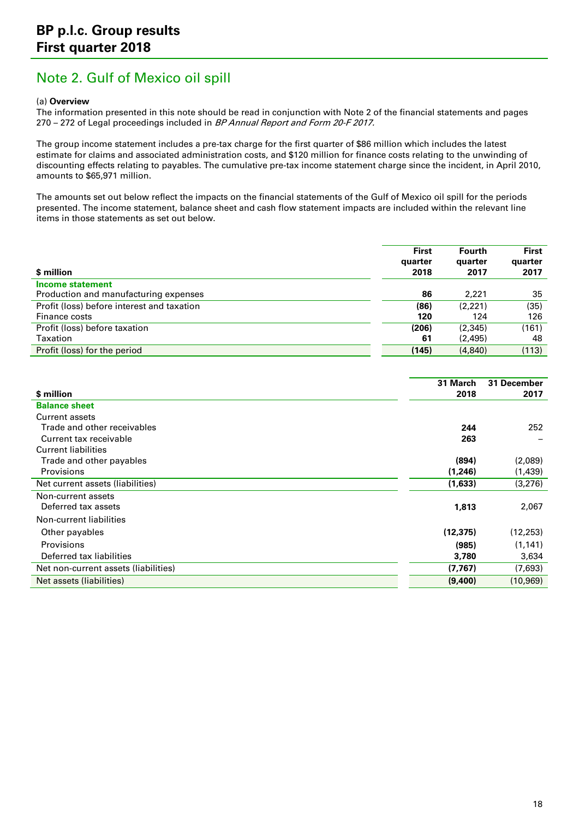## Note 2. Gulf of Mexico oil spill

#### (a) **Overview**

The information presented in this note should be read in conjunction with Note 2 of the financial statements and pages 270 - 272 of Legal proceedings included in BP Annual Report and Form 20-F 2017.

The group income statement includes a pre-tax charge for the first quarter of \$86 million which includes the latest estimate for claims and associated administration costs, and \$120 million for finance costs relating to the unwinding of discounting effects relating to payables. The cumulative pre-tax income statement charge since the incident, in April 2010, amounts to \$65,971 million.

The amounts set out below reflect the impacts on the financial statements of the Gulf of Mexico oil spill for the periods presented. The income statement, balance sheet and cash flow statement impacts are included within the relevant line items in those statements as set out below.

| \$ million                                 | First<br>quarter<br>2018 | <b>Fourth</b><br>quarter<br>2017 | <b>First</b><br>quarter<br>2017 |
|--------------------------------------------|--------------------------|----------------------------------|---------------------------------|
| Income statement                           |                          |                                  |                                 |
| Production and manufacturing expenses      | 86                       | 2.221                            | 35                              |
| Profit (loss) before interest and taxation | (86)                     | (2,221)                          | (35)                            |
| Finance costs                              | 120                      | 124                              | 126                             |
| Profit (loss) before taxation              | (206)                    | (2, 345)                         | (161)                           |
| Taxation                                   | -61                      | (2, 495)                         | 48                              |
| Profit (loss) for the period               | (145)                    | (4,840)                          | (113)                           |

|                                      | 31 March  | 31 December |
|--------------------------------------|-----------|-------------|
| \$ million                           | 2018      | 2017        |
| <b>Balance sheet</b>                 |           |             |
| Current assets                       |           |             |
| Trade and other receivables          | 244       | 252         |
| Current tax receivable               | 263       |             |
| <b>Current liabilities</b>           |           |             |
|                                      |           |             |
| Trade and other payables             | (894)     | (2,089)     |
| Provisions                           | (1,246)   | (1,439)     |
| Net current assets (liabilities)     | (1,633)   | (3,276)     |
| Non-current assets                   |           |             |
| Deferred tax assets                  | 1,813     | 2,067       |
| Non-current liabilities              |           |             |
| Other payables                       | (12, 375) | (12, 253)   |
| Provisions                           | (985)     | (1, 141)    |
| Deferred tax liabilities             | 3,780     | 3,634       |
| Net non-current assets (liabilities) | (7, 767)  | (7,693)     |
| Net assets (liabilities)             | (9,400)   | (10, 969)   |
|                                      |           |             |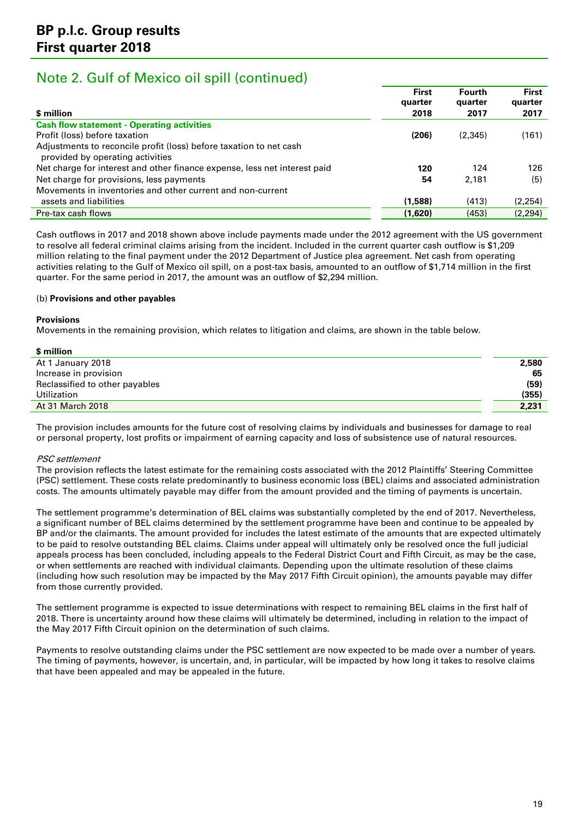## Note 2. Gulf of Mexico oil spill (continued)

|                                                                           | <b>First</b><br>quarter | Fourth<br>quarter | First<br>quarter |
|---------------------------------------------------------------------------|-------------------------|-------------------|------------------|
| \$ million                                                                | 2018                    | 2017              | 2017             |
| <b>Cash flow statement - Operating activities</b>                         |                         |                   |                  |
| Profit (loss) before taxation                                             | (206)                   | (2, 345)          | (161)            |
| Adjustments to reconcile profit (loss) before taxation to net cash        |                         |                   |                  |
| provided by operating activities                                          |                         |                   |                  |
| Net charge for interest and other finance expense, less net interest paid | 120                     | 124               | 126              |
| Net charge for provisions, less payments                                  | 54                      | 2.181             | (5)              |
| Movements in inventories and other current and non-current                |                         |                   |                  |
| assets and liabilities                                                    | (1,588)                 | (413)             | (2,254)          |
| Pre-tax cash flows                                                        | (1,620)                 | (453)             | (2, 294)         |

Cash outflows in 2017 and 2018 shown above include payments made under the 2012 agreement with the US government to resolve all federal criminal claims arising from the incident. Included in the current quarter cash outflow is \$1,209 million relating to the final payment under the 2012 Department of Justice plea agreement. Net cash from operating activities relating to the Gulf of Mexico oil spill, on a post-tax basis, amounted to an outflow of \$1,714 million in the first quarter. For the same period in 2017, the amount was an outflow of \$2,294 million.

### (b) **Provisions and other payables**

### **Provisions**

Movements in the remaining provision, which relates to litigation and claims, are shown in the table below.

| \$ million                     |       |
|--------------------------------|-------|
| At 1 January 2018              | 2,580 |
| Increase in provision          | 65    |
| Reclassified to other payables | (59)  |
| Utilization                    | (355) |
| At 31 March 2018               | 2,231 |

The provision includes amounts for the future cost of resolving claims by individuals and businesses for damage to real or personal property, lost profits or impairment of earning capacity and loss of subsistence use of natural resources.

### PSC settlement

The provision reflects the latest estimate for the remaining costs associated with the 2012 Plaintiffs' Steering Committee (PSC) settlement. These costs relate predominantly to business economic loss (BEL) claims and associated administration costs. The amounts ultimately payable may differ from the amount provided and the timing of payments is uncertain.

The settlement programme's determination of BEL claims was substantially completed by the end of 2017. Nevertheless, a significant number of BEL claims determined by the settlement programme have been and continue to be appealed by BP and/or the claimants. The amount provided for includes the latest estimate of the amounts that are expected ultimately to be paid to resolve outstanding BEL claims. Claims under appeal will ultimately only be resolved once the full judicial appeals process has been concluded, including appeals to the Federal District Court and Fifth Circuit, as may be the case, or when settlements are reached with individual claimants. Depending upon the ultimate resolution of these claims (including how such resolution may be impacted by the May 2017 Fifth Circuit opinion), the amounts payable may differ from those currently provided.

The settlement programme is expected to issue determinations with respect to remaining BEL claims in the first half of 2018. There is uncertainty around how these claims will ultimately be determined, including in relation to the impact of the May 2017 Fifth Circuit opinion on the determination of such claims.

Payments to resolve outstanding claims under the PSC settlement are now expected to be made over a number of years. The timing of payments, however, is uncertain, and, in particular, will be impacted by how long it takes to resolve claims that have been appealed and may be appealed in the future.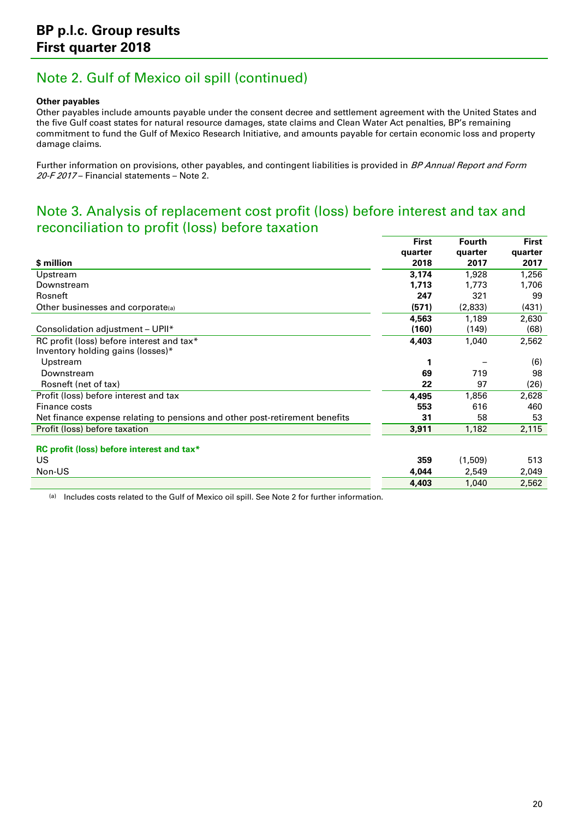# Note 2. Gulf of Mexico oil spill (continued)

### **Other payables**

Other payables include amounts payable under the consent decree and settlement agreement with the United States and the five Gulf coast states for natural resource damages, state claims and Clean Water Act penalties, BP's remaining commitment to fund the Gulf of Mexico Research Initiative, and amounts payable for certain economic loss and property damage claims.

Further information on provisions, other payables, and contingent liabilities is provided in BP Annual Report and Form 20-F 2017 – Financial statements – Note 2.

## Note 3. Analysis of replacement cost profit (loss) before interest and tax and reconciliation to profit (loss) before taxation

|                                                                             | <b>First</b> | <b>Fourth</b> | First   |
|-----------------------------------------------------------------------------|--------------|---------------|---------|
|                                                                             | quarter      | quarter       | quarter |
| \$ million                                                                  | 2018         | 2017          | 2017    |
| Upstream                                                                    | 3,174        | 1,928         | 1,256   |
| Downstream                                                                  | 1,713        | 1,773         | 1,706   |
| Rosneft                                                                     | 247          | 321           | 99      |
| Other businesses and corporate(a)                                           | (571)        | (2,833)       | (431)   |
|                                                                             | 4,563        | 1,189         | 2,630   |
| Consolidation adjustment - UPII*                                            | (160)        | (149)         | (68)    |
| RC profit (loss) before interest and tax*                                   | 4,403        | 1,040         | 2,562   |
| Inventory holding gains (losses)*                                           |              |               |         |
| Upstream                                                                    |              |               | (6)     |
| Downstream                                                                  | 69           | 719           | 98      |
| Rosneft (net of tax)                                                        | 22           | 97            | (26)    |
| Profit (loss) before interest and tax                                       | 4,495        | 1,856         | 2,628   |
| Finance costs                                                               | 553          | 616           | 460     |
| Net finance expense relating to pensions and other post-retirement benefits | 31           | 58            | 53      |
| Profit (loss) before taxation                                               | 3,911        | 1,182         | 2,115   |
|                                                                             |              |               |         |
| RC profit (loss) before interest and tax*                                   |              |               |         |
| US.                                                                         | 359          | (1,509)       | 513     |
| Non-US                                                                      | 4,044        | 2,549         | 2,049   |
|                                                                             | 4,403        | 1,040         | 2,562   |

(a) Includes costs related to the Gulf of Mexico oil spill. See Note 2 for further information.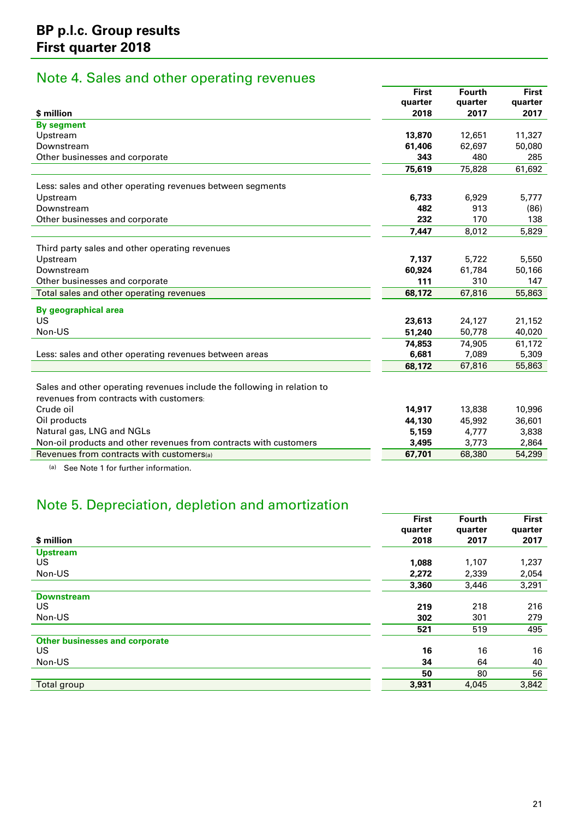# Note 4. Sales and other operating revenues

|                                                                                                                    | <b>First</b> | <b>Fourth</b> | <b>First</b> |
|--------------------------------------------------------------------------------------------------------------------|--------------|---------------|--------------|
|                                                                                                                    | quarter      | quarter       | quarter      |
| \$ million                                                                                                         | 2018         | 2017          | 2017         |
| <b>By segment</b>                                                                                                  |              |               |              |
| Upstream                                                                                                           | 13,870       | 12,651        | 11,327       |
| Downstream                                                                                                         | 61,406       | 62,697        | 50,080       |
| Other businesses and corporate                                                                                     | 343          | 480           | 285          |
|                                                                                                                    | 75,619       | 75,828        | 61,692       |
| Less: sales and other operating revenues between segments                                                          |              |               |              |
| Upstream                                                                                                           | 6,733        | 6,929         | 5,777        |
| Downstream                                                                                                         | 482          | 913           | (86)         |
| Other businesses and corporate                                                                                     | 232          | 170           | 138          |
|                                                                                                                    | 7,447        | 8,012         | 5,829        |
| Third party sales and other operating revenues                                                                     |              |               |              |
| Upstream                                                                                                           | 7,137        | 5,722         | 5,550        |
| Downstream                                                                                                         | 60,924       | 61,784        | 50,166       |
| Other businesses and corporate                                                                                     | 111          | 310           | 147          |
| Total sales and other operating revenues                                                                           | 68,172       | 67,816        | 55,863       |
| By geographical area                                                                                               |              |               |              |
| US.                                                                                                                | 23,613       | 24,127        | 21,152       |
| Non-US                                                                                                             | 51,240       | 50,778        | 40,020       |
|                                                                                                                    | 74,853       | 74,905        | 61,172       |
| Less: sales and other operating revenues between areas                                                             | 6,681        | 7,089         | 5,309        |
|                                                                                                                    | 68,172       | 67,816        | 55,863       |
| Sales and other operating revenues include the following in relation to<br>revenues from contracts with customers. |              |               |              |
| Crude oil                                                                                                          | 14,917       | 13,838        | 10,996       |
| Oil products                                                                                                       | 44,130       | 45,992        | 36,601       |
| Natural gas, LNG and NGLs                                                                                          | 5,159        | 4,777         | 3,838        |
| Non-oil products and other revenues from contracts with customers                                                  | 3,495        | 3,773         | 2,864        |
| Revenues from contracts with customers(a)                                                                          | 67,701       | 68,380        | 54,299       |
| (a)<br>See Note 1 for further information.                                                                         |              |               |              |

# Note 5. Depreciation, depletion and amortization

|                                       | <b>First</b> | Fourth  | <b>First</b> |
|---------------------------------------|--------------|---------|--------------|
|                                       | quarter      | quarter | quarter      |
| \$ million                            | 2018         | 2017    | 2017         |
| <b>Upstream</b>                       |              |         |              |
| US                                    | 1,088        | 1,107   | 1,237        |
| Non-US                                | 2,272        | 2,339   | 2,054        |
|                                       | 3,360        | 3,446   | 3,291        |
| <b>Downstream</b>                     |              |         |              |
| US                                    | 219          | 218     | 216          |
| Non-US                                | 302          | 301     | 279          |
|                                       | 521          | 519     | 495          |
| <b>Other businesses and corporate</b> |              |         |              |
| US                                    | 16           | 16      | 16           |
| Non-US                                | 34           | 64      | 40           |
|                                       | 50           | 80      | 56           |
| Total group                           | 3,931        | 4,045   | 3,842        |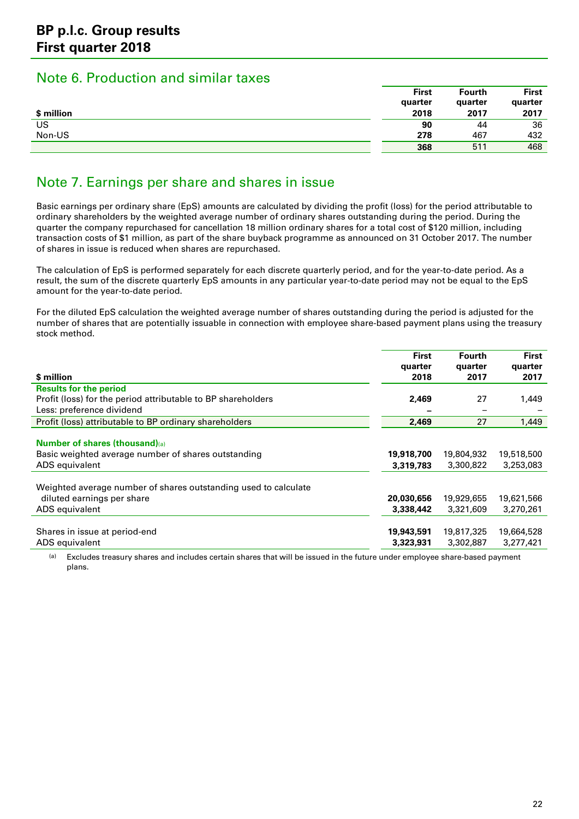### Note 6. Production and similar taxes

|            | <b>First</b> | Fourth  | <b>First</b> |
|------------|--------------|---------|--------------|
|            | quarter      | quarter | quarter      |
| \$ million | 2018         | 2017    | 2017         |
| US         | 90           | 44      | 36           |
| Non-US     | 278          | 467     | 432          |
|            | 368          | 511     | 468          |

### Note 7. Earnings per share and shares in issue

Basic earnings per ordinary share (EpS) amounts are calculated by dividing the profit (loss) for the period attributable to ordinary shareholders by the weighted average number of ordinary shares outstanding during the period. During the quarter the company repurchased for cancellation 18 million ordinary shares for a total cost of \$120 million, including transaction costs of \$1 million, as part of the share buyback programme as announced on 31 October 2017. The number of shares in issue is reduced when shares are repurchased.

The calculation of EpS is performed separately for each discrete quarterly period, and for the year-to-date period. As a result, the sum of the discrete quarterly EpS amounts in any particular year-to-date period may not be equal to the EpS amount for the year-to-date period.

For the diluted EpS calculation the weighted average number of shares outstanding during the period is adjusted for the number of shares that are potentially issuable in connection with employee share-based payment plans using the treasury stock method.

|                                                                 | <b>First</b> | Fourth     | <b>First</b> |
|-----------------------------------------------------------------|--------------|------------|--------------|
|                                                                 | quarter      | quarter    | quarter      |
| \$ million                                                      | 2018         | 2017       | 2017         |
| <b>Results for the period</b>                                   |              |            |              |
| Profit (loss) for the period attributable to BP shareholders    | 2,469        | 27         | 1,449        |
| Less: preference dividend                                       |              |            |              |
| Profit (loss) attributable to BP ordinary shareholders          | 2,469        | 27         | 1,449        |
|                                                                 |              |            |              |
| <b>Number of shares (thousand)</b> (a)                          |              |            |              |
| Basic weighted average number of shares outstanding             | 19,918,700   | 19,804,932 | 19,518,500   |
| ADS equivalent                                                  | 3,319,783    | 3,300,822  | 3,253,083    |
|                                                                 |              |            |              |
| Weighted average number of shares outstanding used to calculate |              |            |              |
| diluted earnings per share                                      | 20,030,656   | 19,929,655 | 19,621,566   |
| ADS equivalent                                                  | 3,338,442    | 3,321,609  | 3,270,261    |
|                                                                 |              |            |              |
| Shares in issue at period-end                                   | 19,943,591   | 19,817,325 | 19,664,528   |
| ADS equivalent                                                  | 3,323,931    | 3,302,887  | 3,277,421    |

(a) Excludes treasury shares and includes certain shares that will be issued in the future under employee share-based payment plans.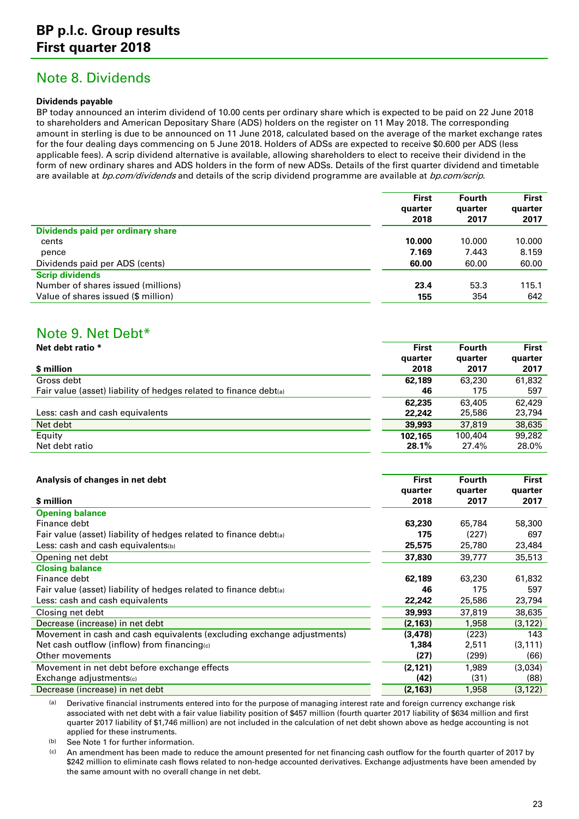## Note 8. Dividends

### **Dividends payable**

BP today announced an interim dividend of 10.00 cents per ordinary share which is expected to be paid on 22 June 2018 to shareholders and American Depositary Share (ADS) holders on the register on 11 May 2018. The corresponding amount in sterling is due to be announced on 11 June 2018, calculated based on the average of the market exchange rates for the four dealing days commencing on 5 June 2018. Holders of ADSs are expected to receive \$0.600 per ADS (less applicable fees). A scrip dividend alternative is available, allowing shareholders to elect to receive their dividend in the form of new ordinary shares and ADS holders in the form of new ADSs. Details of the first quarter dividend and timetable are available at *bp.com/dividends* and details of the scrip dividend programme are available at *bp.com/scrip.* 

| <b>First</b><br>quarter | <b>Fourth</b><br>quarter | <b>First</b><br>quarter |
|-------------------------|--------------------------|-------------------------|
| 2018                    | 2017                     | 2017                    |
|                         |                          |                         |
| 10.000                  | 10.000                   | 10.000                  |
| 7.169                   | 7.443                    | 8.159                   |
| 60.00                   | 60.00                    | 60.00                   |
|                         |                          |                         |
| 23.4                    | 53.3                     | 115.1                   |
| 155                     | 354                      | 642                     |
|                         |                          |                         |

### Note 9. Net Debt\*

| Net debt ratio *<br>\$ million                                    | First<br>quarter<br>2018 | <b>Fourth</b><br>quarter<br>2017 | First<br>quarter<br>2017 |
|-------------------------------------------------------------------|--------------------------|----------------------------------|--------------------------|
| Gross debt                                                        | 62,189                   | 63,230                           | 61,832                   |
| Fair value (asset) liability of hedges related to finance debt(a) | 46                       | 175                              | 597                      |
|                                                                   | 62,235                   | 63,405                           | 62,429                   |
| Less: cash and cash equivalents                                   | 22,242                   | 25,586                           | 23,794                   |
| Net debt                                                          | 39,993                   | 37,819                           | 38,635                   |
| Equity                                                            | 102,165                  | 100,404                          | 99,282                   |
| Net debt ratio                                                    | 28.1%                    | 27.4%                            | 28.0%                    |

| Analysis of changes in net debt<br>\$ million                          | <b>First</b><br>quarter<br>2018 | <b>Fourth</b><br>quarter<br>2017 | <b>First</b><br>quarter<br>2017 |
|------------------------------------------------------------------------|---------------------------------|----------------------------------|---------------------------------|
| <b>Opening balance</b>                                                 |                                 |                                  |                                 |
| Finance debt                                                           | 63,230                          | 65,784                           | 58,300                          |
| Fair value (asset) liability of hedges related to finance debt(a)      | 175                             | (227)                            | 697                             |
| Less: cash and cash equivalents(b)                                     | 25,575                          | 25,780                           | 23,484                          |
| Opening net debt                                                       | 37,830                          | 39,777                           | 35,513                          |
| <b>Closing balance</b>                                                 |                                 |                                  |                                 |
| Finance debt                                                           | 62,189                          | 63,230                           | 61,832                          |
| Fair value (asset) liability of hedges related to finance debt(a)      | 46                              | 175                              | 597                             |
| Less: cash and cash equivalents                                        | 22,242                          | 25,586                           | 23,794                          |
| Closing net debt                                                       | 39,993                          | 37,819                           | 38,635                          |
| Decrease (increase) in net debt                                        | (2, 163)                        | 1,958                            | (3, 122)                        |
| Movement in cash and cash equivalents (excluding exchange adjustments) | (3, 478)                        | (223)                            | 143                             |
| Net cash outflow (inflow) from financing(c)                            | 1,384                           | 2,511                            | (3, 111)                        |
| Other movements                                                        | (27)                            | (299)                            | (66)                            |
| Movement in net debt before exchange effects                           | (2, 121)                        | 1,989                            | (3,034)                         |
| Exchange adjustments(c)                                                | (42)                            | (31)                             | (88)                            |
| Decrease (increase) in net debt                                        | (2, 163)                        | 1,958                            | (3, 122)                        |

(a) Derivative financial instruments entered into for the purpose of managing interest rate and foreign currency exchange risk associated with net debt with a fair value liability position of \$457 million (fourth quarter 2017 liability of \$634 million and first quarter 2017 liability of \$1,746 million) are not included in the calculation of net debt shown above as hedge accounting is not applied for these instruments.

(b) See Note 1 for further information.

(c) An amendment has been made to reduce the amount presented for net financing cash outflow for the fourth quarter of 2017 by \$242 million to eliminate cash flows related to non-hedge accounted derivatives. Exchange adjustments have been amended by the same amount with no overall change in net debt.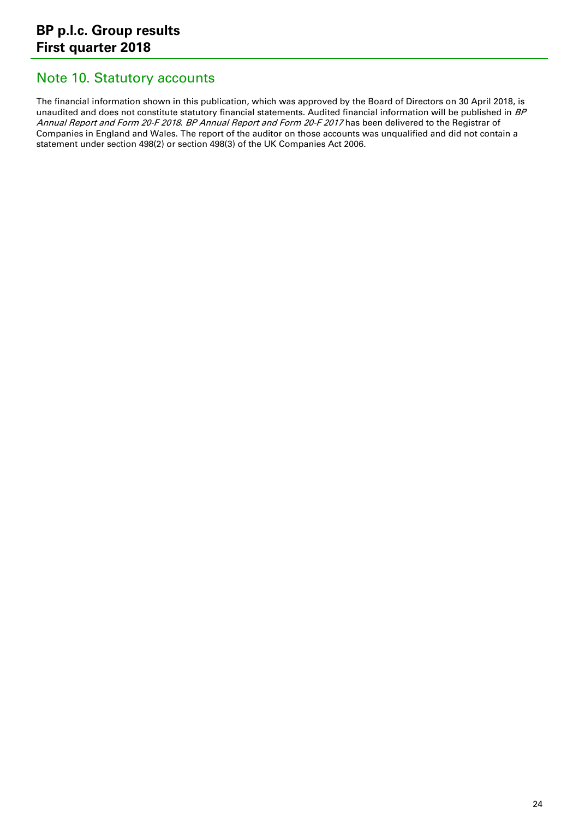### Note 10. Statutory accounts

The financial information shown in this publication, which was approved by the Board of Directors on 30 April 2018, is unaudited and does not constitute statutory financial statements. Audited financial information will be published in BP Annual Report and Form 20-F 2018. BP Annual Report and Form 20-F 2017 has been delivered to the Registrar of Companies in England and Wales. The report of the auditor on those accounts was unqualified and did not contain a statement under section 498(2) or section 498(3) of the UK Companies Act 2006.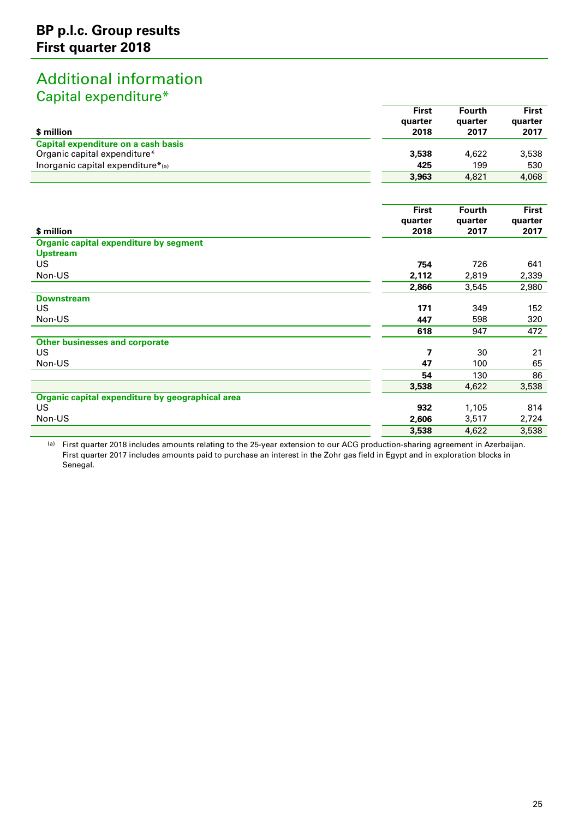# Additional information Capital expenditure\*

|                                                  | <b>First</b> | <b>Fourth</b> | <b>First</b> |
|--------------------------------------------------|--------------|---------------|--------------|
|                                                  | quarter      | quarter       | quarter      |
| \$ million                                       | 2018         | 2017          | 2017         |
| Capital expenditure on a cash basis              |              |               |              |
| Organic capital expenditure*                     | 3,538        | 4,622         | 3,538        |
| Inorganic capital expenditure*(a)                | 425          | 199           | 530          |
|                                                  | 3,963        | 4,821         | 4,068        |
|                                                  |              |               |              |
|                                                  | <b>First</b> | <b>Fourth</b> | <b>First</b> |
|                                                  | quarter      | quarter       | quarter      |
| \$ million                                       | 2018         | 2017          | 2017         |
| Organic capital expenditure by segment           |              |               |              |
| <b>Upstream</b>                                  |              |               |              |
| US                                               | 754          | 726           | 641          |
| Non-US                                           | 2,112        | 2,819         | 2,339        |
|                                                  | 2,866        | 3,545         | 2,980        |
| <b>Downstream</b>                                |              |               |              |
| US                                               | 171          | 349           | 152          |
| Non-US                                           | 447          | 598           | 320          |
|                                                  | 618          | 947           | 472          |
| <b>Other businesses and corporate</b>            |              |               |              |
| US                                               | 7            | 30            | 21           |
| Non-US                                           | 47           | 100           | 65           |
|                                                  | 54           | 130           | 86           |
|                                                  | 3,538        | 4,622         | 3,538        |
| Organic capital expenditure by geographical area |              |               |              |
| US                                               | 932          | 1,105         | 814          |
| Non-US                                           | 2,606        | 3,517         | 2,724        |
|                                                  | 3,538        | 4.622         | 3,538        |

(a) First quarter 2018 includes amounts relating to the 25-year extension to our ACG production-sharing agreement in Azerbaijan. First quarter 2017 includes amounts paid to purchase an interest in the Zohr gas field in Egypt and in exploration blocks in Senegal.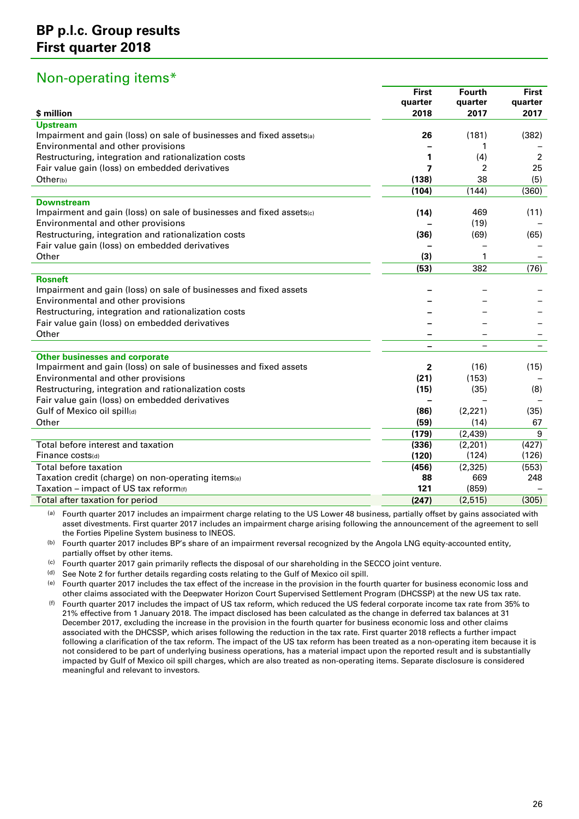# Non-operating items\*

|                                                                      | <b>First</b><br>quarter | <b>Fourth</b><br>quarter | <b>First</b><br>quarter |
|----------------------------------------------------------------------|-------------------------|--------------------------|-------------------------|
| \$ million                                                           | 2018                    | 2017                     | 2017                    |
| <b>Upstream</b>                                                      |                         |                          |                         |
| Impairment and gain (loss) on sale of businesses and fixed assets(a) | 26                      | (181)                    | (382)                   |
| Environmental and other provisions                                   |                         | 1                        |                         |
| Restructuring, integration and rationalization costs                 | 1                       | (4)                      | $\overline{2}$          |
| Fair value gain (loss) on embedded derivatives                       | 7                       | $\mathbf{2}$             | 25                      |
| Other(b)                                                             | (138)                   | 38                       | (5)                     |
|                                                                      | (104)                   | (144)                    | (360)                   |
| <b>Downstream</b>                                                    |                         |                          |                         |
| Impairment and gain (loss) on sale of businesses and fixed assets(c) | (14)                    | 469                      | (11)                    |
| Environmental and other provisions                                   |                         | (19)                     |                         |
| Restructuring, integration and rationalization costs                 | (36)                    | (69)                     | (65)                    |
| Fair value gain (loss) on embedded derivatives                       |                         |                          |                         |
| Other                                                                | (3)                     | 1                        |                         |
|                                                                      | (53)                    | 382                      | (76)                    |
| <b>Rosneft</b>                                                       |                         |                          |                         |
| Impairment and gain (loss) on sale of businesses and fixed assets    |                         |                          |                         |
| Environmental and other provisions                                   |                         |                          |                         |
| Restructuring, integration and rationalization costs                 |                         |                          |                         |
| Fair value gain (loss) on embedded derivatives                       |                         |                          |                         |
| Other                                                                |                         |                          |                         |
|                                                                      |                         |                          |                         |
| <b>Other businesses and corporate</b>                                |                         |                          |                         |
| Impairment and gain (loss) on sale of businesses and fixed assets    | 2                       | (16)                     | (15)                    |
| Environmental and other provisions                                   | (21)                    | (153)                    |                         |
| Restructuring, integration and rationalization costs                 | (15)                    | (35)                     | (8)                     |
| Fair value gain (loss) on embedded derivatives                       |                         |                          |                         |
| Gulf of Mexico oil spill(d)                                          | (86)                    | (2,221)                  | (35)                    |
| Other                                                                | (59)                    | (14)                     | 67                      |
|                                                                      | (179)                   | (2, 439)                 | 9                       |
| Total before interest and taxation                                   | (336)                   | (2,201)                  | (427)                   |
| Finance costs(d)                                                     | (120)                   | (124)                    | (126)                   |
| Total before taxation                                                | (456)                   | (2, 325)                 | (553)                   |
| Taxation credit (charge) on non-operating items(e)                   | 88                      | 669                      | 248                     |
| Taxation - impact of US tax reform(f)                                | 121                     | (859)                    |                         |
| Total after taxation for period                                      | (247)                   | (2, 515)                 | (305)                   |

(a) Fourth quarter 2017 includes an impairment charge relating to the US Lower 48 business, partially offset by gains associated with asset divestments. First quarter 2017 includes an impairment charge arising following the announcement of the agreement to sell the Forties Pipeline System business to INEOS.

(b) Fourth quarter 2017 includes BP's share of an impairment reversal recognized by the Angola LNG equity-accounted entity, partially offset by other items.

(c) Fourth quarter 2017 gain primarily reflects the disposal of our shareholding in the SECCO joint venture.

(d) See Note 2 for further details regarding costs relating to the Gulf of Mexico oil spill.

(e) Fourth quarter 2017 includes the tax effect of the increase in the provision in the fourth quarter for business economic loss and other claims associated with the Deepwater Horizon Court Supervised Settlement Program (DHCSSP) at the new US tax rate.

 $(f)$  Fourth quarter 2017 includes the impact of US tax reform, which reduced the US federal corporate income tax rate from 35% to 21% effective from 1 January 2018. The impact disclosed has been calculated as the change in deferred tax balances at 31 December 2017, excluding the increase in the provision in the fourth quarter for business economic loss and other claims associated with the DHCSSP, which arises following the reduction in the tax rate. First quarter 2018 reflects a further impact following a clarification of the tax reform. The impact of the US tax reform has been treated as a non-operating item because it is not considered to be part of underlying business operations, has a material impact upon the reported result and is substantially impacted by Gulf of Mexico oil spill charges, which are also treated as non-operating items. Separate disclosure is considered meaningful and relevant to investors.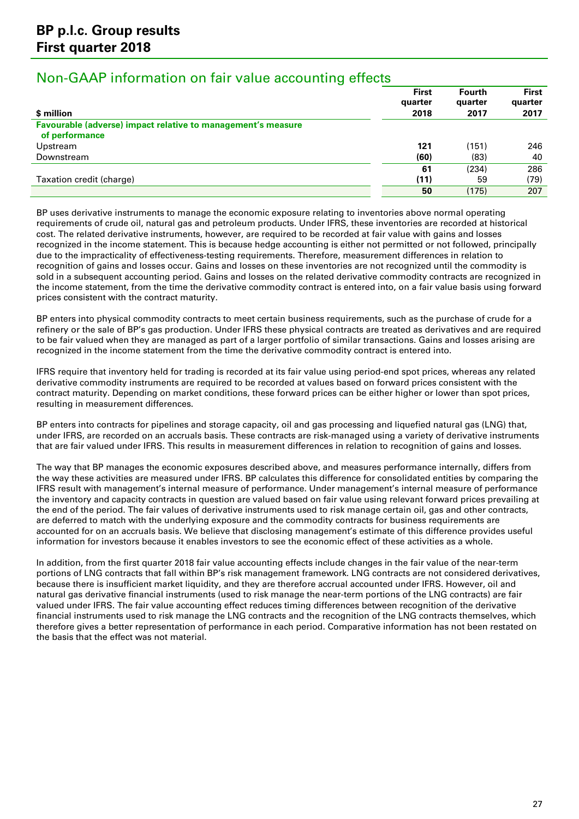## Non-GAAP information on fair value accounting effects

|                                                                                | <b>First</b>    | <b>Fourth</b>   | <b>First</b>    |
|--------------------------------------------------------------------------------|-----------------|-----------------|-----------------|
| \$ million                                                                     | quarter<br>2018 | quarter<br>2017 | quarter<br>2017 |
|                                                                                |                 |                 |                 |
| Favourable (adverse) impact relative to management's measure<br>of performance |                 |                 |                 |
| Upstream                                                                       | 121             | (151)           | 246             |
| Downstream                                                                     | (60)            | (83)            | 40              |
|                                                                                | 61              | (234)           | 286             |
| Taxation credit (charge)                                                       | (11)            | 59              | (79)            |
|                                                                                | 50              | (175)           | 207             |

BP uses derivative instruments to manage the economic exposure relating to inventories above normal operating requirements of crude oil, natural gas and petroleum products. Under IFRS, these inventories are recorded at historical cost. The related derivative instruments, however, are required to be recorded at fair value with gains and losses recognized in the income statement. This is because hedge accounting is either not permitted or not followed, principally due to the impracticality of effectiveness-testing requirements. Therefore, measurement differences in relation to recognition of gains and losses occur. Gains and losses on these inventories are not recognized until the commodity is sold in a subsequent accounting period. Gains and losses on the related derivative commodity contracts are recognized in the income statement, from the time the derivative commodity contract is entered into, on a fair value basis using forward prices consistent with the contract maturity.

BP enters into physical commodity contracts to meet certain business requirements, such as the purchase of crude for a refinery or the sale of BP's gas production. Under IFRS these physical contracts are treated as derivatives and are required to be fair valued when they are managed as part of a larger portfolio of similar transactions. Gains and losses arising are recognized in the income statement from the time the derivative commodity contract is entered into.

IFRS require that inventory held for trading is recorded at its fair value using period-end spot prices, whereas any related derivative commodity instruments are required to be recorded at values based on forward prices consistent with the contract maturity. Depending on market conditions, these forward prices can be either higher or lower than spot prices, resulting in measurement differences.

BP enters into contracts for pipelines and storage capacity, oil and gas processing and liquefied natural gas (LNG) that, under IFRS, are recorded on an accruals basis. These contracts are risk-managed using a variety of derivative instruments that are fair valued under IFRS. This results in measurement differences in relation to recognition of gains and losses.

The way that BP manages the economic exposures described above, and measures performance internally, differs from the way these activities are measured under IFRS. BP calculates this difference for consolidated entities by comparing the IFRS result with management's internal measure of performance. Under management's internal measure of performance the inventory and capacity contracts in question are valued based on fair value using relevant forward prices prevailing at the end of the period. The fair values of derivative instruments used to risk manage certain oil, gas and other contracts, are deferred to match with the underlying exposure and the commodity contracts for business requirements are accounted for on an accruals basis. We believe that disclosing management's estimate of this difference provides useful information for investors because it enables investors to see the economic effect of these activities as a whole.

In addition, from the first quarter 2018 fair value accounting effects include changes in the fair value of the near-term portions of LNG contracts that fall within BP's risk management framework. LNG contracts are not considered derivatives, because there is insufficient market liquidity, and they are therefore accrual accounted under IFRS. However, oil and natural gas derivative financial instruments (used to risk manage the near-term portions of the LNG contracts) are fair valued under IFRS. The fair value accounting effect reduces timing differences between recognition of the derivative financial instruments used to risk manage the LNG contracts and the recognition of the LNG contracts themselves, which therefore gives a better representation of performance in each period. Comparative information has not been restated on the basis that the effect was not material.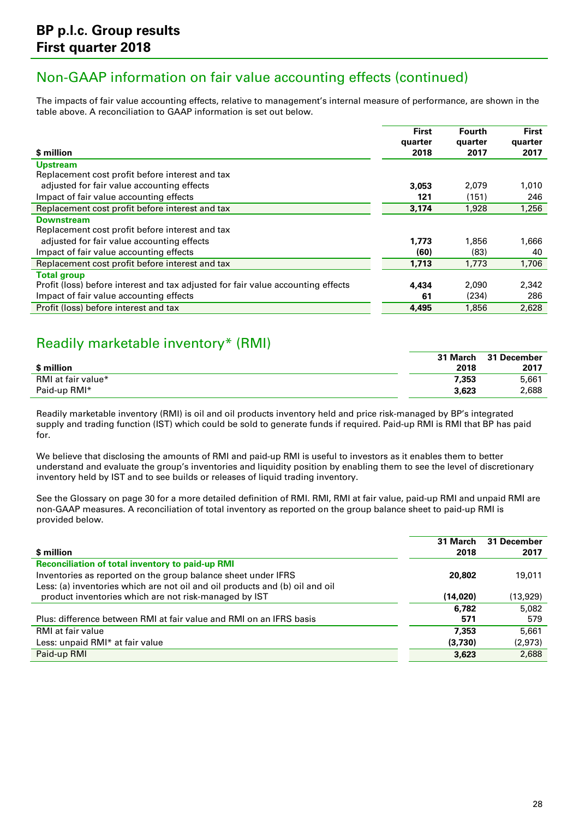## Non-GAAP information on fair value accounting effects (continued)

The impacts of fair value accounting effects, relative to management's internal measure of performance, are shown in the table above. A reconciliation to GAAP information is set out below.

|                                                                                  | <b>First</b><br>quarter | <b>Fourth</b><br>quarter | <b>First</b><br>quarter |
|----------------------------------------------------------------------------------|-------------------------|--------------------------|-------------------------|
| \$ million                                                                       | 2018                    | 2017                     | 2017                    |
| <b>Upstream</b>                                                                  |                         |                          |                         |
| Replacement cost profit before interest and tax                                  |                         |                          |                         |
| adjusted for fair value accounting effects                                       | 3,053                   | 2,079                    | 1,010                   |
| Impact of fair value accounting effects                                          | 121                     | (151)                    | 246                     |
| Replacement cost profit before interest and tax                                  | 3.174                   | 1,928                    | 1,256                   |
| <b>Downstream</b>                                                                |                         |                          |                         |
| Replacement cost profit before interest and tax                                  |                         |                          |                         |
| adjusted for fair value accounting effects                                       | 1.773                   | 1,856                    | 1,666                   |
| Impact of fair value accounting effects                                          | (60)                    | (83)                     | 40                      |
| Replacement cost profit before interest and tax                                  | 1,713                   | 1,773                    | 1,706                   |
| <b>Total group</b>                                                               |                         |                          |                         |
| Profit (loss) before interest and tax adjusted for fair value accounting effects | 4,434                   | 2,090                    | 2,342                   |
| Impact of fair value accounting effects                                          | 61                      | (234)                    | 286                     |
| Profit (loss) before interest and tax                                            | 4,495                   | 1,856                    | 2,628                   |

## Readily marketable inventory\* (RMI)

|                    |       | 31 March 31 December |
|--------------------|-------|----------------------|
| \$ million         | 2018  | 2017                 |
| RMI at fair value* | 7.353 | 5.661                |
| Paid-up RMI*       | 3.623 | 2,688                |

Readily marketable inventory (RMI) is oil and oil products inventory held and price risk-managed by BP's integrated supply and trading function (IST) which could be sold to generate funds if required. Paid-up RMI is RMI that BP has paid for.

We believe that disclosing the amounts of RMI and paid-up RMI is useful to investors as it enables them to better understand and evaluate the group's inventories and liquidity position by enabling them to see the level of discretionary inventory held by IST and to see builds or releases of liquid trading inventory.

See the Glossary on page 30 for a more detailed definition of RMI. RMI, RMI at fair value, paid-up RMI and unpaid RMI are non-GAAP measures. A reconciliation of total inventory as reported on the group balance sheet to paid-up RMI is provided below.

| \$ million                                                                   | 31 March<br>2018 | 31 December<br>2017 |
|------------------------------------------------------------------------------|------------------|---------------------|
| <b>Reconciliation of total inventory to paid-up RMI</b>                      |                  |                     |
| Inventories as reported on the group balance sheet under IFRS                | 20,802           | 19,011              |
| Less: (a) inventories which are not oil and oil products and (b) oil and oil |                  |                     |
| product inventories which are not risk-managed by IST                        | (14,020)         | (13,929)            |
|                                                                              | 6,782            | 5,082               |
| Plus: difference between RMI at fair value and RMI on an IFRS basis          | 571              | 579                 |
| RMI at fair value                                                            | 7.353            | 5,661               |
| Less: unpaid RMI* at fair value                                              | (3,730)          | (2,973)             |
| Paid-up RMI                                                                  | 3,623            | 2,688               |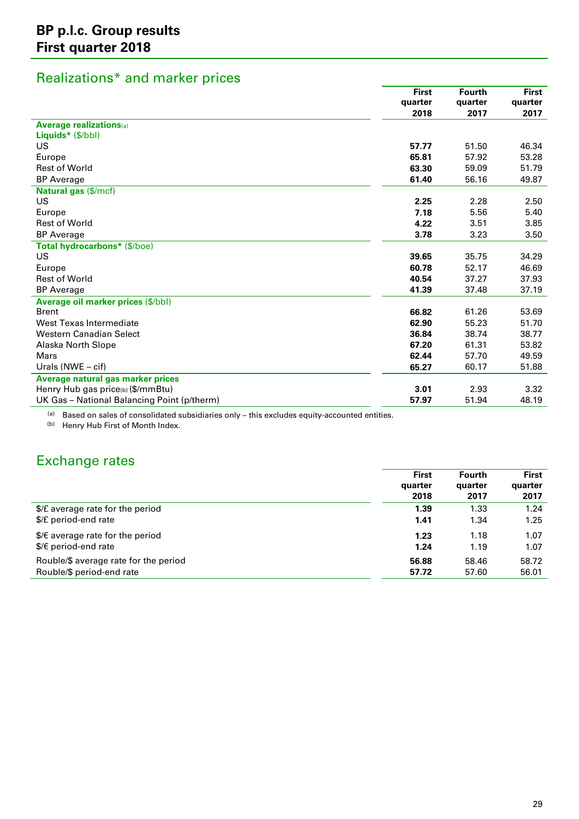# Realizations\* and marker prices

|                                             | <b>First</b> | <b>Fourth</b> | <b>First</b> |
|---------------------------------------------|--------------|---------------|--------------|
|                                             | quarter      | quarter       | quarter      |
|                                             | 2018         | 2017          | 2017         |
| <b>Average realizations(a)</b>              |              |               |              |
| Liquids $*(\frac{\pi}{6}$ bbl)              |              |               |              |
| US                                          | 57.77        | 51.50         | 46.34        |
| Europe                                      | 65.81        | 57.92         | 53.28        |
| <b>Rest of World</b>                        | 63.30        | 59.09         | 51.79        |
| <b>BP</b> Average                           | 61.40        | 56.16         | 49.87        |
| Natural gas (\$/mcf)                        |              |               |              |
| US                                          | 2.25         | 2.28          | 2.50         |
| Europe                                      | 7.18         | 5.56          | 5.40         |
| <b>Rest of World</b>                        | 4.22         | 3.51          | 3.85         |
| <b>BP</b> Average                           | 3.78         | 3.23          | 3.50         |
| Total hydrocarbons* (\$/boe)                |              |               |              |
| US                                          | 39.65        | 35.75         | 34.29        |
| Europe                                      | 60.78        | 52.17         | 46.69        |
| <b>Rest of World</b>                        | 40.54        | 37.27         | 37.93        |
| <b>BP</b> Average                           | 41.39        | 37.48         | 37.19        |
| Average oil marker prices (\$/bbl)          |              |               |              |
| <b>Brent</b>                                | 66.82        | 61.26         | 53.69        |
| West Texas Intermediate                     | 62.90        | 55.23         | 51.70        |
| <b>Western Canadian Select</b>              | 36.84        | 38.74         | 38.77        |
| Alaska North Slope                          | 67.20        | 61.31         | 53.82        |
| Mars                                        | 62.44        | 57.70         | 49.59        |
| Urals ( $NWE - cif$ )                       | 65.27        | 60.17         | 51.88        |
| Average natural gas marker prices           |              |               |              |
| Henry Hub gas price(b) (\$/mmBtu)           | 3.01         | 2.93          | 3.32         |
| UK Gas - National Balancing Point (p/therm) | 57.97        | 51.94         | 48.19        |

(a) Based on sales of consolidated subsidiaries only – this excludes equity-accounted entities.

(b) Henry Hub First of Month Index.

## Exchange rates

|                                           | <b>First</b><br>quarter<br>2018 | <b>Fourth</b><br>quarter<br>2017 | First<br>quarter<br>2017 |
|-------------------------------------------|---------------------------------|----------------------------------|--------------------------|
| \$/£ average rate for the period          | 1.39                            | 1.33                             | 1.24                     |
| \$/£ period-end rate                      | 1.41                            | 1.34                             | 1.25                     |
| $\frac{1}{2}$ average rate for the period | 1.23                            | 1.18                             | 1.07                     |
| $\frac{1}{2}$ period-end rate             | 1.24                            | 1.19                             | 1.07                     |
| Rouble/\$ average rate for the period     | 56.88                           | 58.46                            | 58.72                    |
| Rouble/\$ period-end rate                 | 57.72                           | 57.60                            | 56.01                    |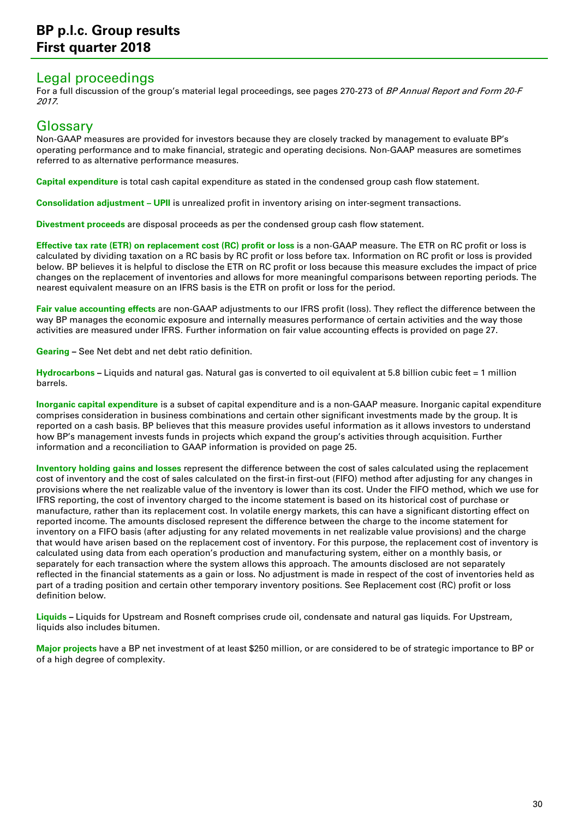### Legal proceedings

For a full discussion of the group's material legal proceedings, see pages 270-273 of BP Annual Report and Form 20-F 2017.

### Glossary

Non-GAAP measures are provided for investors because they are closely tracked by management to evaluate BP's operating performance and to make financial, strategic and operating decisions. Non-GAAP measures are sometimes referred to as alternative performance measures.

**Capital expenditure** is total cash capital expenditure as stated in the condensed group cash flow statement.

**Consolidation adjustment – UPII** is unrealized profit in inventory arising on inter-segment transactions.

**Divestment proceeds** are disposal proceeds as per the condensed group cash flow statement.

**Effective tax rate (ETR) on replacement cost (RC) profit or loss** is a non-GAAP measure. The ETR on RC profit or loss is calculated by dividing taxation on a RC basis by RC profit or loss before tax. Information on RC profit or loss is provided below. BP believes it is helpful to disclose the ETR on RC profit or loss because this measure excludes the impact of price changes on the replacement of inventories and allows for more meaningful comparisons between reporting periods. The nearest equivalent measure on an IFRS basis is the ETR on profit or loss for the period.

**Fair value accounting effects** are non-GAAP adjustments to our IFRS profit (loss). They reflect the difference between the way BP manages the economic exposure and internally measures performance of certain activities and the way those activities are measured under IFRS. Further information on fair value accounting effects is provided on page 27.

**Gearing –** See Net debt and net debt ratio definition.

**Hydrocarbons –** Liquids and natural gas. Natural gas is converted to oil equivalent at 5.8 billion cubic feet = 1 million barrels.

**Inorganic capital expenditure** is a subset of capital expenditure and is a non-GAAP measure. Inorganic capital expenditure comprises consideration in business combinations and certain other significant investments made by the group. It is reported on a cash basis. BP believes that this measure provides useful information as it allows investors to understand how BP's management invests funds in projects which expand the group's activities through acquisition. Further information and a reconciliation to GAAP information is provided on page 25.

**Inventory holding gains and losses** represent the difference between the cost of sales calculated using the replacement cost of inventory and the cost of sales calculated on the first-in first-out (FIFO) method after adjusting for any changes in provisions where the net realizable value of the inventory is lower than its cost. Under the FIFO method, which we use for IFRS reporting, the cost of inventory charged to the income statement is based on its historical cost of purchase or manufacture, rather than its replacement cost. In volatile energy markets, this can have a significant distorting effect on reported income. The amounts disclosed represent the difference between the charge to the income statement for inventory on a FIFO basis (after adjusting for any related movements in net realizable value provisions) and the charge that would have arisen based on the replacement cost of inventory. For this purpose, the replacement cost of inventory is calculated using data from each operation's production and manufacturing system, either on a monthly basis, or separately for each transaction where the system allows this approach. The amounts disclosed are not separately reflected in the financial statements as a gain or loss. No adjustment is made in respect of the cost of inventories held as part of a trading position and certain other temporary inventory positions. See Replacement cost (RC) profit or loss definition below.

**Liquids –** Liquids for Upstream and Rosneft comprises crude oil, condensate and natural gas liquids. For Upstream, liquids also includes bitumen.

**Major projects** have a BP net investment of at least \$250 million, or are considered to be of strategic importance to BP or of a high degree of complexity.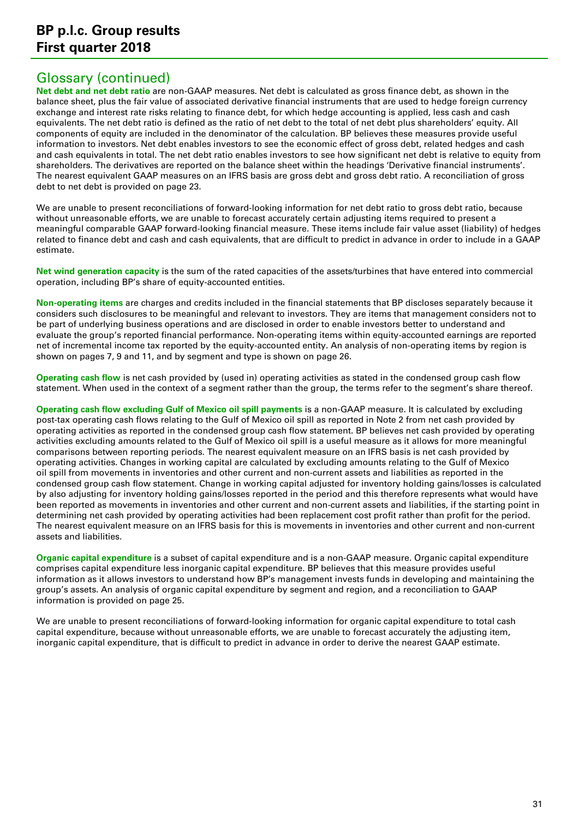## Glossary (continued)

**Net debt and net debt ratio** are non-GAAP measures. Net debt is calculated as gross finance debt, as shown in the balance sheet, plus the fair value of associated derivative financial instruments that are used to hedge foreign currency exchange and interest rate risks relating to finance debt, for which hedge accounting is applied, less cash and cash equivalents. The net debt ratio is defined as the ratio of net debt to the total of net debt plus shareholders' equity. All components of equity are included in the denominator of the calculation. BP believes these measures provide useful information to investors. Net debt enables investors to see the economic effect of gross debt, related hedges and cash and cash equivalents in total. The net debt ratio enables investors to see how significant net debt is relative to equity from shareholders. The derivatives are reported on the balance sheet within the headings 'Derivative financial instruments'. The nearest equivalent GAAP measures on an IFRS basis are gross debt and gross debt ratio. A reconciliation of gross debt to net debt is provided on page 23.

We are unable to present reconciliations of forward-looking information for net debt ratio to gross debt ratio, because without unreasonable efforts, we are unable to forecast accurately certain adjusting items required to present a meaningful comparable GAAP forward-looking financial measure. These items include fair value asset (liability) of hedges related to finance debt and cash and cash equivalents, that are difficult to predict in advance in order to include in a GAAP estimate.

**Net wind generation capacity** is the sum of the rated capacities of the assets/turbines that have entered into commercial operation, including BP's share of equity-accounted entities.

**Non-operating items** are charges and credits included in the financial statements that BP discloses separately because it considers such disclosures to be meaningful and relevant to investors. They are items that management considers not to be part of underlying business operations and are disclosed in order to enable investors better to understand and evaluate the group's reported financial performance. Non-operating items within equity-accounted earnings are reported net of incremental income tax reported by the equity-accounted entity. An analysis of non-operating items by region is shown on pages 7, 9 and 11, and by segment and type is shown on page 26.

**Operating cash flow** is net cash provided by (used in) operating activities as stated in the condensed group cash flow statement. When used in the context of a segment rather than the group, the terms refer to the segment's share thereof.

**Operating cash flow excluding Gulf of Mexico oil spill payments** is a non-GAAP measure. It is calculated by excluding post-tax operating cash flows relating to the Gulf of Mexico oil spill as reported in Note 2 from net cash provided by operating activities as reported in the condensed group cash flow statement. BP believes net cash provided by operating activities excluding amounts related to the Gulf of Mexico oil spill is a useful measure as it allows for more meaningful comparisons between reporting periods. The nearest equivalent measure on an IFRS basis is net cash provided by operating activities. Changes in working capital are calculated by excluding amounts relating to the Gulf of Mexico oil spill from movements in inventories and other current and non-current assets and liabilities as reported in the condensed group cash flow statement. Change in working capital adjusted for inventory holding gains/losses is calculated by also adjusting for inventory holding gains/losses reported in the period and this therefore represents what would have been reported as movements in inventories and other current and non-current assets and liabilities, if the starting point in determining net cash provided by operating activities had been replacement cost profit rather than profit for the period. The nearest equivalent measure on an IFRS basis for this is movements in inventories and other current and non-current assets and liabilities.

**Organic capital expenditure** is a subset of capital expenditure and is a non-GAAP measure. Organic capital expenditure comprises capital expenditure less inorganic capital expenditure. BP believes that this measure provides useful information as it allows investors to understand how BP's management invests funds in developing and maintaining the group's assets. An analysis of organic capital expenditure by segment and region, and a reconciliation to GAAP information is provided on page 25.

We are unable to present reconciliations of forward-looking information for organic capital expenditure to total cash capital expenditure, because without unreasonable efforts, we are unable to forecast accurately the adjusting item, inorganic capital expenditure, that is difficult to predict in advance in order to derive the nearest GAAP estimate.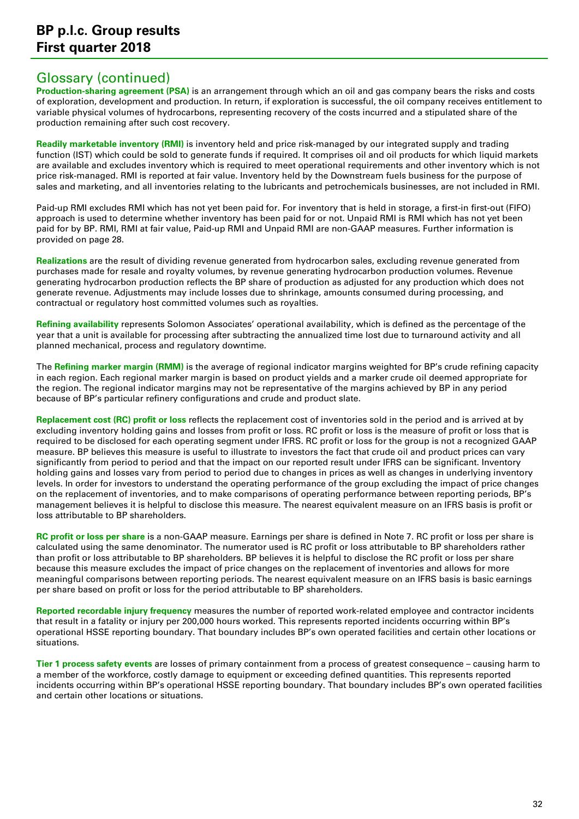## **BP p.l.c. Group results First quarter 2018**

### Glossary (continued)

**Production-sharing agreement (PSA)** is an arrangement through which an oil and gas company bears the risks and costs of exploration, development and production. In return, if exploration is successful, the oil company receives entitlement to variable physical volumes of hydrocarbons, representing recovery of the costs incurred and a stipulated share of the production remaining after such cost recovery.

**Readily marketable inventory (RMI)** is inventory held and price risk-managed by our integrated supply and trading function (IST) which could be sold to generate funds if required. It comprises oil and oil products for which liquid markets are available and excludes inventory which is required to meet operational requirements and other inventory which is not price risk-managed. RMI is reported at fair value. Inventory held by the Downstream fuels business for the purpose of sales and marketing, and all inventories relating to the lubricants and petrochemicals businesses, are not included in RMI.

Paid-up RMI excludes RMI which has not yet been paid for. For inventory that is held in storage, a first-in first-out (FIFO) approach is used to determine whether inventory has been paid for or not. Unpaid RMI is RMI which has not yet been paid for by BP. RMI, RMI at fair value, Paid-up RMI and Unpaid RMI are non-GAAP measures. Further information is provided on page 28.

**Realizations** are the result of dividing revenue generated from hydrocarbon sales, excluding revenue generated from purchases made for resale and royalty volumes, by revenue generating hydrocarbon production volumes. Revenue generating hydrocarbon production reflects the BP share of production as adjusted for any production which does not generate revenue. Adjustments may include losses due to shrinkage, amounts consumed during processing, and contractual or regulatory host committed volumes such as royalties.

**Refining availability** represents Solomon Associates' operational availability, which is defined as the percentage of the year that a unit is available for processing after subtracting the annualized time lost due to turnaround activity and all planned mechanical, process and regulatory downtime.

The **Refining marker margin (RMM)** is the average of regional indicator margins weighted for BP's crude refining capacity in each region. Each regional marker margin is based on product yields and a marker crude oil deemed appropriate for the region. The regional indicator margins may not be representative of the margins achieved by BP in any period because of BP's particular refinery configurations and crude and product slate.

**Replacement cost (RC) profit or loss** reflects the replacement cost of inventories sold in the period and is arrived at by excluding inventory holding gains and losses from profit or loss. RC profit or loss is the measure of profit or loss that is required to be disclosed for each operating segment under IFRS. RC profit or loss for the group is not a recognized GAAP measure. BP believes this measure is useful to illustrate to investors the fact that crude oil and product prices can vary significantly from period to period and that the impact on our reported result under IFRS can be significant. Inventory holding gains and losses vary from period to period due to changes in prices as well as changes in underlying inventory levels. In order for investors to understand the operating performance of the group excluding the impact of price changes on the replacement of inventories, and to make comparisons of operating performance between reporting periods, BP's management believes it is helpful to disclose this measure. The nearest equivalent measure on an IFRS basis is profit or loss attributable to BP shareholders.

**RC profit or loss per share** is a non-GAAP measure. Earnings per share is defined in Note 7. RC profit or loss per share is calculated using the same denominator. The numerator used is RC profit or loss attributable to BP shareholders rather than profit or loss attributable to BP shareholders. BP believes it is helpful to disclose the RC profit or loss per share because this measure excludes the impact of price changes on the replacement of inventories and allows for more meaningful comparisons between reporting periods. The nearest equivalent measure on an IFRS basis is basic earnings per share based on profit or loss for the period attributable to BP shareholders.

**Reported recordable injury frequency** measures the number of reported work-related employee and contractor incidents that result in a fatality or injury per 200,000 hours worked. This represents reported incidents occurring within BP's operational HSSE reporting boundary. That boundary includes BP's own operated facilities and certain other locations or situations.

**Tier 1 process safety events** are losses of primary containment from a process of greatest consequence – causing harm to a member of the workforce, costly damage to equipment or exceeding defined quantities. This represents reported incidents occurring within BP's operational HSSE reporting boundary. That boundary includes BP's own operated facilities and certain other locations or situations.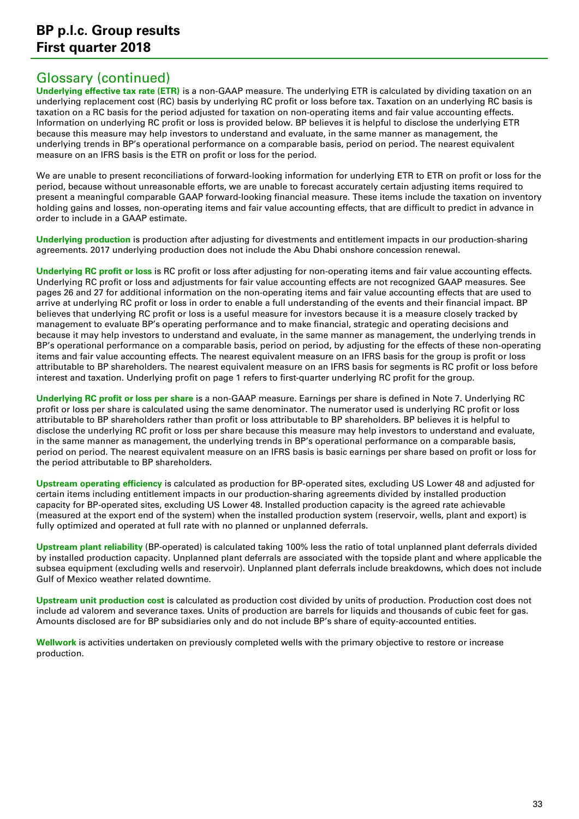## Glossary (continued)

**Underlying effective tax rate (ETR)** is a non-GAAP measure. The underlying ETR is calculated by dividing taxation on an underlying replacement cost (RC) basis by underlying RC profit or loss before tax. Taxation on an underlying RC basis is taxation on a RC basis for the period adjusted for taxation on non-operating items and fair value accounting effects. Information on underlying RC profit or loss is provided below. BP believes it is helpful to disclose the underlying ETR because this measure may help investors to understand and evaluate, in the same manner as management, the underlying trends in BP's operational performance on a comparable basis, period on period. The nearest equivalent measure on an IFRS basis is the ETR on profit or loss for the period.

We are unable to present reconciliations of forward-looking information for underlying ETR to ETR on profit or loss for the period, because without unreasonable efforts, we are unable to forecast accurately certain adjusting items required to present a meaningful comparable GAAP forward-looking financial measure. These items include the taxation on inventory holding gains and losses, non-operating items and fair value accounting effects, that are difficult to predict in advance in order to include in a GAAP estimate.

**Underlying production** is production after adjusting for divestments and entitlement impacts in our production-sharing agreements. 2017 underlying production does not include the Abu Dhabi onshore concession renewal.

**Underlying RC profit or loss** is RC profit or loss after adjusting for non-operating items and fair value accounting effects. Underlying RC profit or loss and adjustments for fair value accounting effects are not recognized GAAP measures. See pages 26 and 27 for additional information on the non-operating items and fair value accounting effects that are used to arrive at underlying RC profit or loss in order to enable a full understanding of the events and their financial impact. BP believes that underlying RC profit or loss is a useful measure for investors because it is a measure closely tracked by management to evaluate BP's operating performance and to make financial, strategic and operating decisions and because it may help investors to understand and evaluate, in the same manner as management, the underlying trends in BP's operational performance on a comparable basis, period on period, by adjusting for the effects of these non-operating items and fair value accounting effects. The nearest equivalent measure on an IFRS basis for the group is profit or loss attributable to BP shareholders. The nearest equivalent measure on an IFRS basis for segments is RC profit or loss before interest and taxation. Underlying profit on page 1 refers to first-quarter underlying RC profit for the group.

**Underlying RC profit or loss per share** is a non-GAAP measure. Earnings per share is defined in Note 7. Underlying RC profit or loss per share is calculated using the same denominator. The numerator used is underlying RC profit or loss attributable to BP shareholders rather than profit or loss attributable to BP shareholders. BP believes it is helpful to disclose the underlying RC profit or loss per share because this measure may help investors to understand and evaluate, in the same manner as management, the underlying trends in BP's operational performance on a comparable basis, period on period. The nearest equivalent measure on an IFRS basis is basic earnings per share based on profit or loss for the period attributable to BP shareholders.

**Upstream operating efficiency** is calculated as production for BP-operated sites, excluding US Lower 48 and adjusted for certain items including entitlement impacts in our production-sharing agreements divided by installed production capacity for BP-operated sites, excluding US Lower 48. Installed production capacity is the agreed rate achievable (measured at the export end of the system) when the installed production system (reservoir, wells, plant and export) is fully optimized and operated at full rate with no planned or unplanned deferrals.

**Upstream plant reliability** (BP-operated) is calculated taking 100% less the ratio of total unplanned plant deferrals divided by installed production capacity. Unplanned plant deferrals are associated with the topside plant and where applicable the subsea equipment (excluding wells and reservoir). Unplanned plant deferrals include breakdowns, which does not include Gulf of Mexico weather related downtime.

**Upstream unit production cost** is calculated as production cost divided by units of production. Production cost does not include ad valorem and severance taxes. Units of production are barrels for liquids and thousands of cubic feet for gas. Amounts disclosed are for BP subsidiaries only and do not include BP's share of equity-accounted entities.

**Wellwork** is activities undertaken on previously completed wells with the primary objective to restore or increase production.